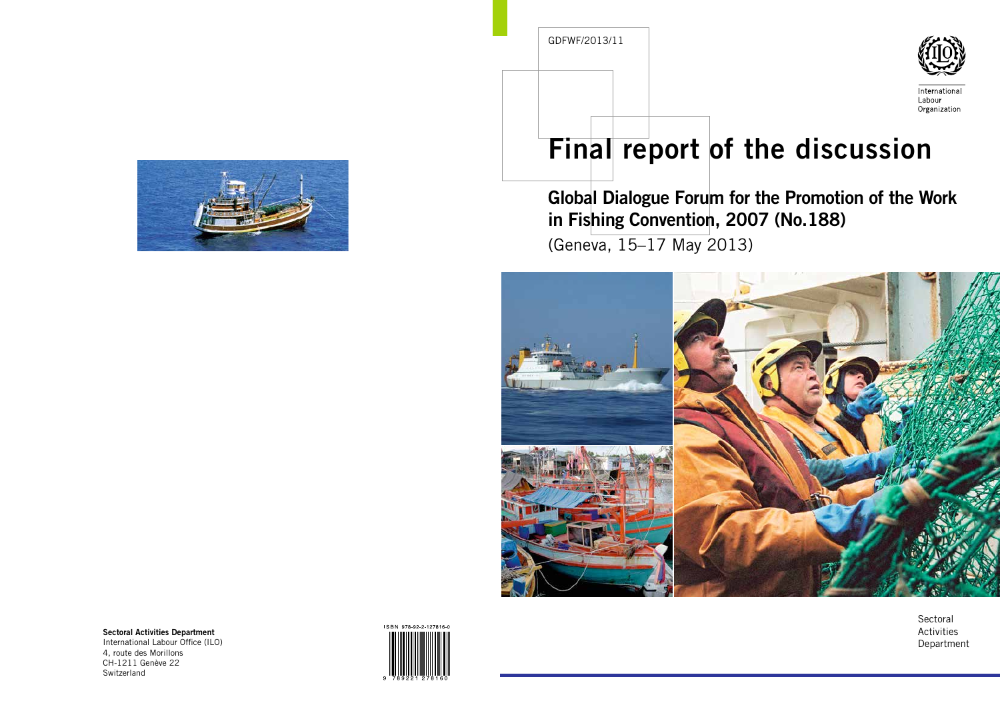

# Final report of the discussion

## Global Dialogue Forum for the Promotion of the Work in Fishing Convention, 2007 (No.188)

(Geneva, 15–17 May 2013)



**Sectoral** Activities Department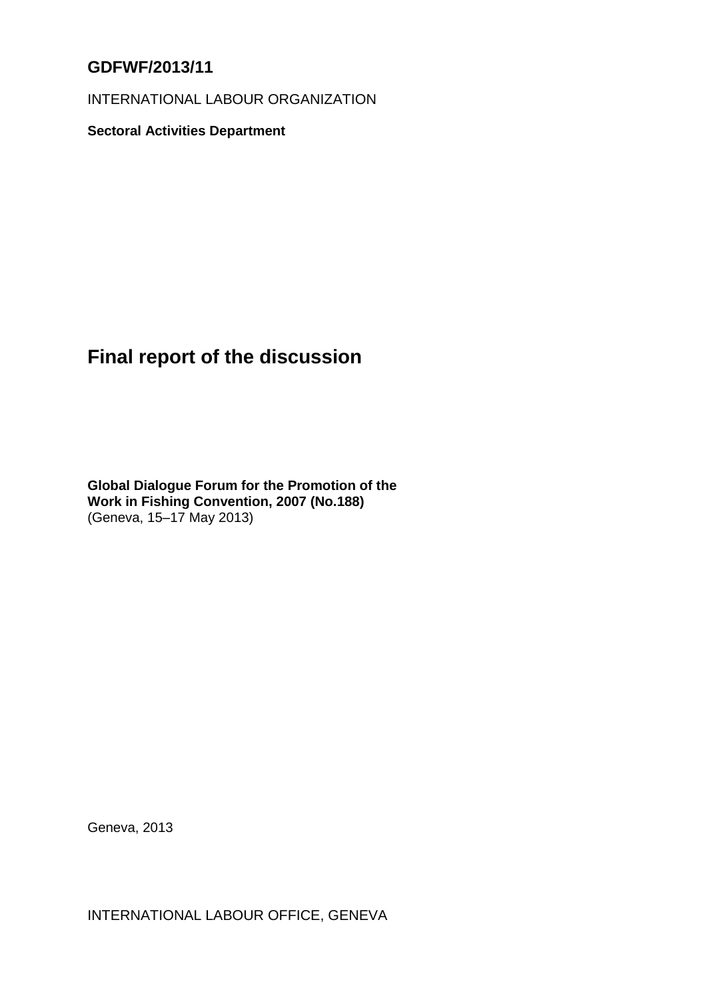## **GDFWF/2013/11**

INTERNATIONAL LABOUR ORGANIZATION

**Sectoral Activities Department**

## **Final report of the discussion**

**Global Dialogue Forum for the Promotion of the Work in Fishing Convention, 2007 (No.188)** (Geneva, 15–17 May 2013)

Geneva, 2013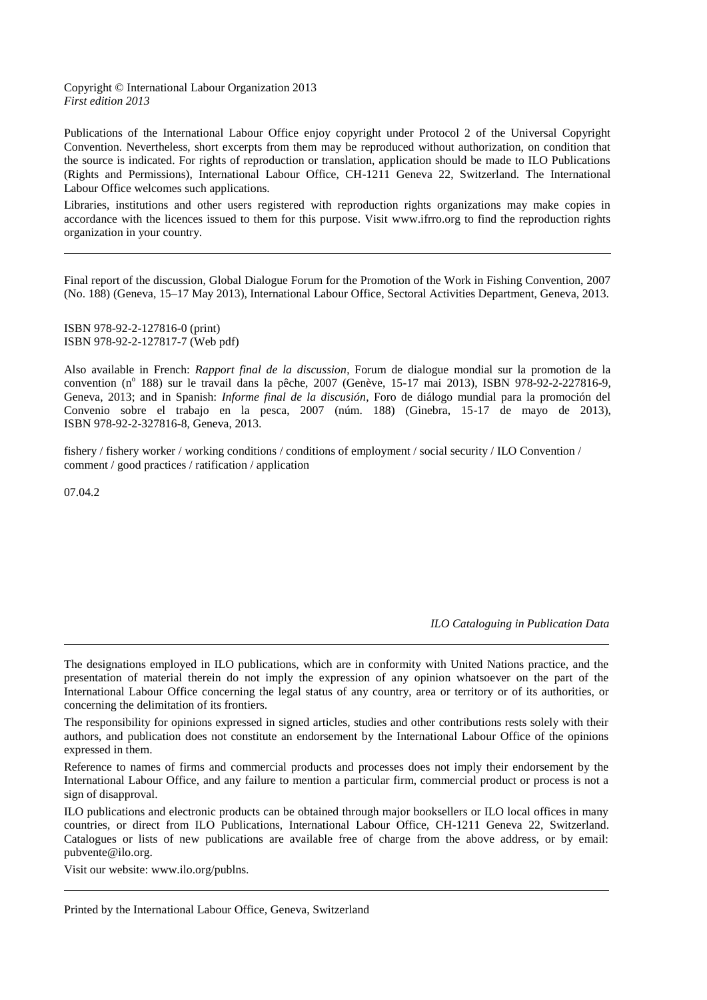#### Copyright © International Labour Organization 2013 *First edition 2013*

Publications of the International Labour Office enjoy copyright under Protocol 2 of the Universal Copyright Convention. Nevertheless, short excerpts from them may be reproduced without authorization, on condition that the source is indicated. For rights of reproduction or translation, application should be made to ILO Publications (Rights and Permissions), International Labour Office, CH-1211 Geneva 22, Switzerland. The International Labour Office welcomes such applications.

Libraries, institutions and other users registered with reproduction rights organizations may make copies in accordance with the licences issued to them for this purpose. Visit www.ifrro.org to find the reproduction rights organization in your country.

Final report of the discussion, Global Dialogue Forum for the Promotion of the Work in Fishing Convention, 2007 (No. 188) (Geneva, 15–17 May 2013), International Labour Office, Sectoral Activities Department, Geneva, 2013.

ISBN 978-92-2-127816-0 (print) ISBN 978-92-2-127817-7 (Web pdf)

Also available in French: *Rapport final de la discussion*, Forum de dialogue mondial sur la promotion de la convention (nº 188) sur le travail dans la pêche, 2007 (Genève, 15-17 mai 2013), ISBN 978-92-2-227816-9, Geneva, 2013; and in Spanish: *Informe final de la discusión*, Foro de diálogo mundial para la promoción del Convenio sobre el trabajo en la pesca, 2007 (núm. 188) (Ginebra, 15-17 de mayo de 2013), ISBN 978-92-2-327816-8, Geneva, 2013*.*

fishery / fishery worker / working conditions / conditions of employment / social security / ILO Convention / comment / good practices / ratification / application

07.04.2

*ILO Cataloguing in Publication Data*

The designations employed in ILO publications, which are in conformity with United Nations practice, and the presentation of material therein do not imply the expression of any opinion whatsoever on the part of the International Labour Office concerning the legal status of any country, area or territory or of its authorities, or concerning the delimitation of its frontiers.

The responsibility for opinions expressed in signed articles, studies and other contributions rests solely with their authors, and publication does not constitute an endorsement by the International Labour Office of the opinions expressed in them.

Reference to names of firms and commercial products and processes does not imply their endorsement by the International Labour Office, and any failure to mention a particular firm, commercial product or process is not a sign of disapproval.

ILO publications and electronic products can be obtained through major booksellers or ILO local offices in many countries, or direct from ILO Publications, International Labour Office, CH-1211 Geneva 22, Switzerland. Catalogues or lists of new publications are available free of charge from the above address, or by email: pubvente@ilo.org.

Visit our website: www.ilo.org/publns.

Printed by the International Labour Office, Geneva, Switzerland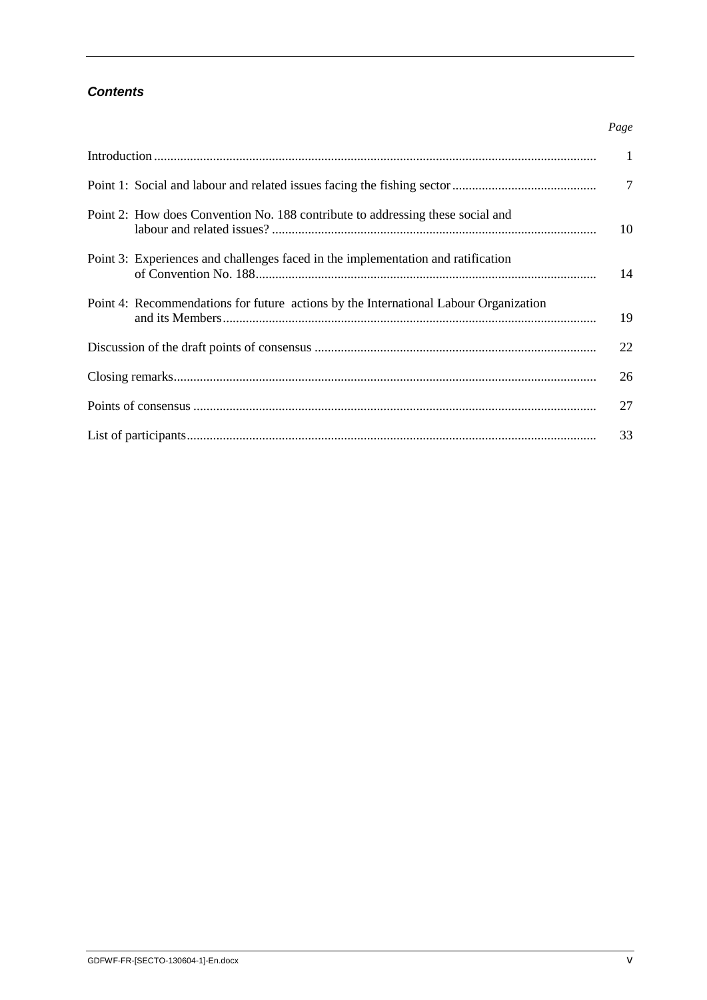### *Contents*

|                                                                                      | Page         |
|--------------------------------------------------------------------------------------|--------------|
|                                                                                      | $\mathbf{1}$ |
|                                                                                      | 7            |
| Point 2: How does Convention No. 188 contribute to addressing these social and       | 10           |
| Point 3: Experiences and challenges faced in the implementation and ratification     | 14           |
| Point 4: Recommendations for future actions by the International Labour Organization | 19           |
|                                                                                      | 22           |
|                                                                                      | 26           |
|                                                                                      | 27           |
|                                                                                      | 33           |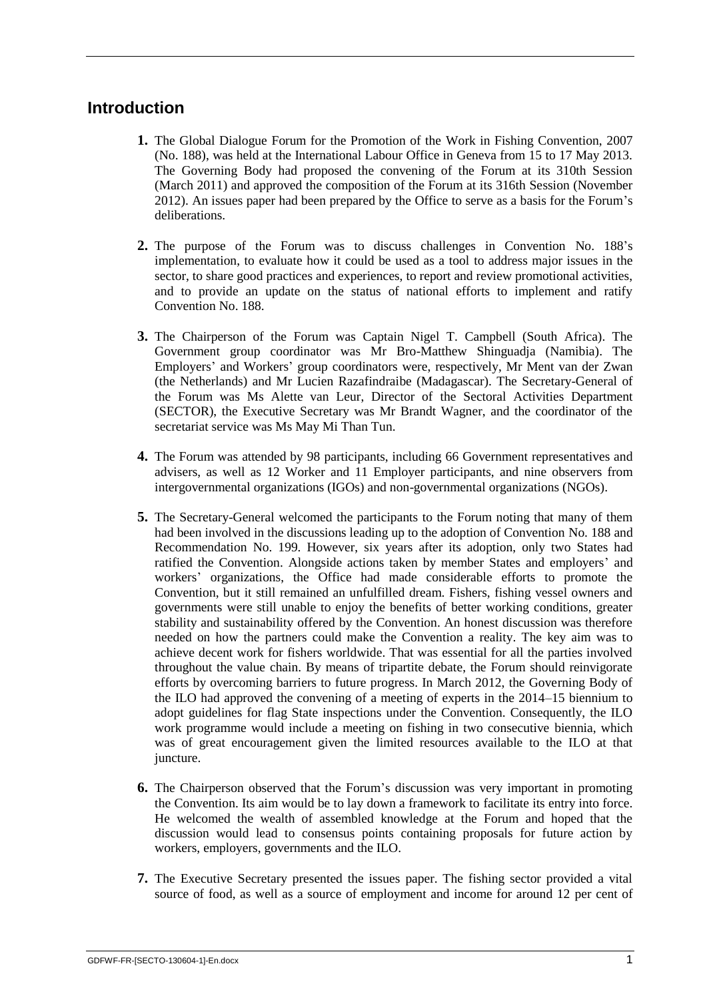## <span id="page-4-0"></span>**Introduction**

- **1.** The Global Dialogue Forum for the Promotion of the Work in Fishing Convention, 2007 (No. 188), was held at the International Labour Office in Geneva from 15 to 17 May 2013. The Governing Body had proposed the convening of the Forum at its 310th Session (March 2011) and approved the composition of the Forum at its 316th Session (November 2012). An issues paper had been prepared by the Office to serve as a basis for the Forum's deliberations.
- **2.** The purpose of the Forum was to discuss challenges in Convention No. 188's implementation, to evaluate how it could be used as a tool to address major issues in the sector, to share good practices and experiences, to report and review promotional activities, and to provide an update on the status of national efforts to implement and ratify Convention No. 188.
- **3.** The Chairperson of the Forum was Captain Nigel T. Campbell (South Africa). The Government group coordinator was Mr Bro-Matthew Shinguadja (Namibia). The Employers' and Workers' group coordinators were, respectively, Mr Ment van der Zwan (the Netherlands) and Mr Lucien Razafindraibe (Madagascar). The Secretary-General of the Forum was Ms Alette van Leur, Director of the Sectoral Activities Department (SECTOR), the Executive Secretary was Mr Brandt Wagner, and the coordinator of the secretariat service was Ms May Mi Than Tun.
- **4.** The Forum was attended by 98 participants, including 66 Government representatives and advisers, as well as 12 Worker and 11 Employer participants, and nine observers from intergovernmental organizations (IGOs) and non-governmental organizations (NGOs).
- **5.** The Secretary-General welcomed the participants to the Forum noting that many of them had been involved in the discussions leading up to the adoption of Convention No. 188 and Recommendation No. 199. However, six years after its adoption, only two States had ratified the Convention. Alongside actions taken by member States and employers' and workers' organizations, the Office had made considerable efforts to promote the Convention, but it still remained an unfulfilled dream. Fishers, fishing vessel owners and governments were still unable to enjoy the benefits of better working conditions, greater stability and sustainability offered by the Convention. An honest discussion was therefore needed on how the partners could make the Convention a reality. The key aim was to achieve decent work for fishers worldwide. That was essential for all the parties involved throughout the value chain. By means of tripartite debate, the Forum should reinvigorate efforts by overcoming barriers to future progress. In March 2012, the Governing Body of the ILO had approved the convening of a meeting of experts in the 2014–15 biennium to adopt guidelines for flag State inspections under the Convention. Consequently, the ILO work programme would include a meeting on fishing in two consecutive biennia, which was of great encouragement given the limited resources available to the ILO at that juncture.
- **6.** The Chairperson observed that the Forum's discussion was very important in promoting the Convention. Its aim would be to lay down a framework to facilitate its entry into force. He welcomed the wealth of assembled knowledge at the Forum and hoped that the discussion would lead to consensus points containing proposals for future action by workers, employers, governments and the ILO.
- **7.** The Executive Secretary presented the issues paper. The fishing sector provided a vital source of food, as well as a source of employment and income for around 12 per cent of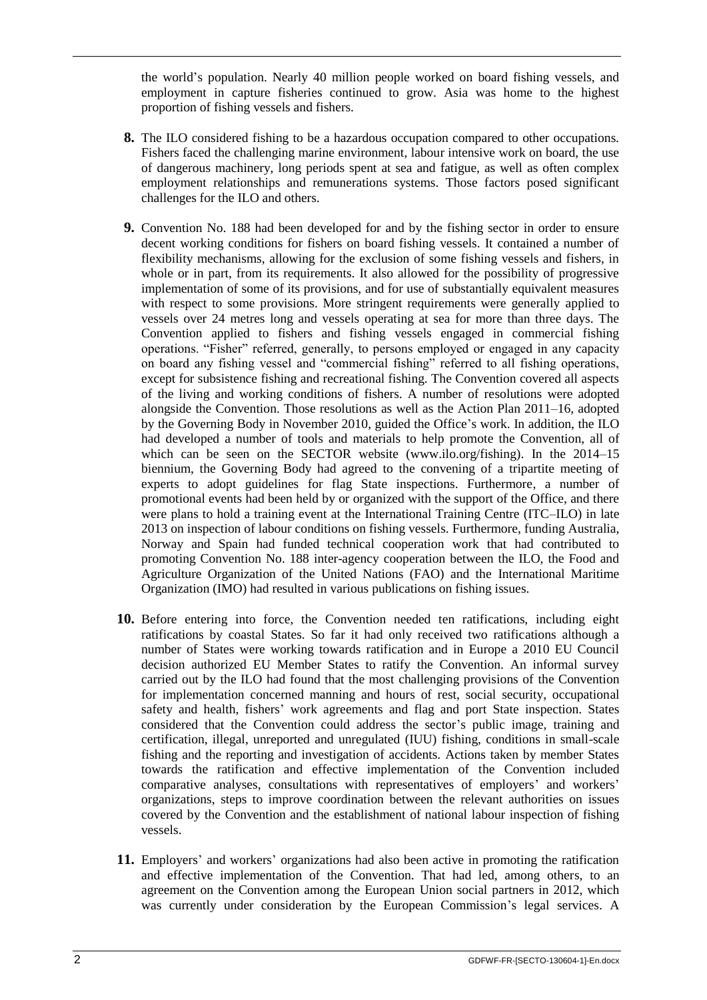the world's population. Nearly 40 million people worked on board fishing vessels, and employment in capture fisheries continued to grow. Asia was home to the highest proportion of fishing vessels and fishers.

- **8.** The ILO considered fishing to be a hazardous occupation compared to other occupations. Fishers faced the challenging marine environment, labour intensive work on board, the use of dangerous machinery, long periods spent at sea and fatigue, as well as often complex employment relationships and remunerations systems. Those factors posed significant challenges for the ILO and others.
- **9.** Convention No. 188 had been developed for and by the fishing sector in order to ensure decent working conditions for fishers on board fishing vessels. It contained a number of flexibility mechanisms, allowing for the exclusion of some fishing vessels and fishers, in whole or in part, from its requirements. It also allowed for the possibility of progressive implementation of some of its provisions, and for use of substantially equivalent measures with respect to some provisions. More stringent requirements were generally applied to vessels over 24 metres long and vessels operating at sea for more than three days. The Convention applied to fishers and fishing vessels engaged in commercial fishing operations. "Fisher" referred, generally, to persons employed or engaged in any capacity on board any fishing vessel and "commercial fishing" referred to all fishing operations, except for subsistence fishing and recreational fishing. The Convention covered all aspects of the living and working conditions of fishers. A number of resolutions were adopted alongside the Convention. Those resolutions as well as the Action Plan 2011–16, adopted by the Governing Body in November 2010, guided the Office's work. In addition, the ILO had developed a number of tools and materials to help promote the Convention, all of which can be seen on the SECTOR website (www.ilo.org/fishing). In the 2014–15 biennium, the Governing Body had agreed to the convening of a tripartite meeting of experts to adopt guidelines for flag State inspections. Furthermore, a number of promotional events had been held by or organized with the support of the Office, and there were plans to hold a training event at the International Training Centre (ITC–ILO) in late 2013 on inspection of labour conditions on fishing vessels. Furthermore, funding Australia, Norway and Spain had funded technical cooperation work that had contributed to promoting Convention No. 188 inter-agency cooperation between the ILO, the Food and Agriculture Organization of the United Nations (FAO) and the International Maritime Organization (IMO) had resulted in various publications on fishing issues.
- **10.** Before entering into force, the Convention needed ten ratifications, including eight ratifications by coastal States. So far it had only received two ratifications although a number of States were working towards ratification and in Europe a 2010 EU Council decision authorized EU Member States to ratify the Convention. An informal survey carried out by the ILO had found that the most challenging provisions of the Convention for implementation concerned manning and hours of rest, social security, occupational safety and health, fishers' work agreements and flag and port State inspection. States considered that the Convention could address the sector's public image, training and certification, illegal, unreported and unregulated (IUU) fishing, conditions in small-scale fishing and the reporting and investigation of accidents. Actions taken by member States towards the ratification and effective implementation of the Convention included comparative analyses, consultations with representatives of employers' and workers' organizations, steps to improve coordination between the relevant authorities on issues covered by the Convention and the establishment of national labour inspection of fishing vessels.
- **11.** Employers' and workers' organizations had also been active in promoting the ratification and effective implementation of the Convention. That had led, among others, to an agreement on the Convention among the European Union social partners in 2012, which was currently under consideration by the European Commission's legal services. A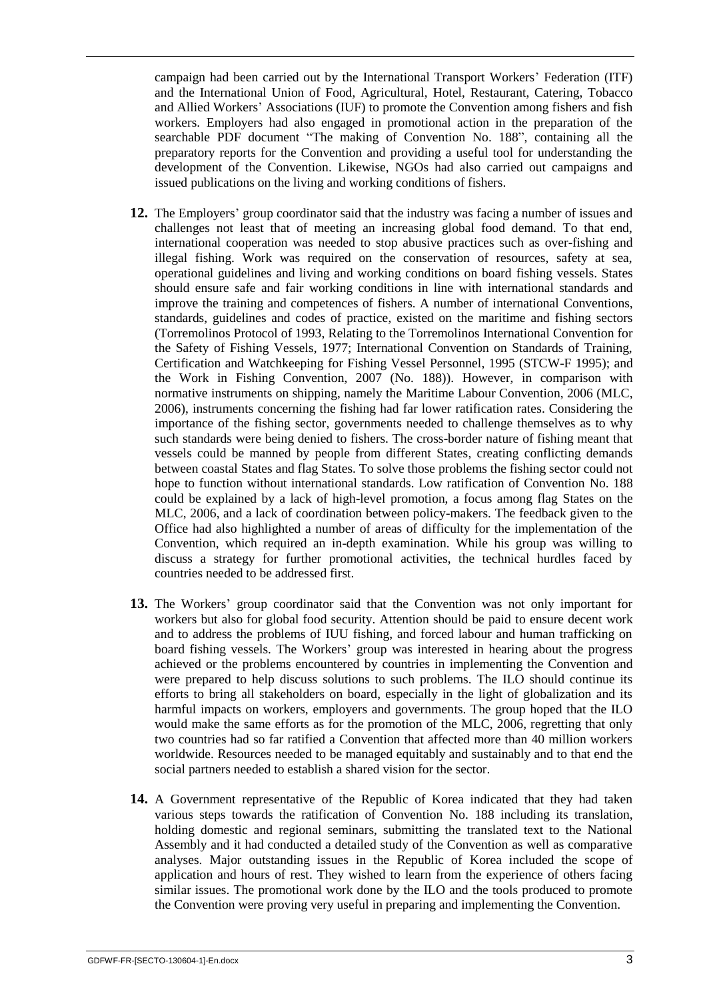campaign had been carried out by the International Transport Workers' Federation (ITF) and the International Union of Food, Agricultural, Hotel, Restaurant, Catering, Tobacco and Allied Workers' Associations (IUF) to promote the Convention among fishers and fish workers. Employers had also engaged in promotional action in the preparation of the searchable PDF document "The making of Convention No. 188", containing all the preparatory reports for the Convention and providing a useful tool for understanding the development of the Convention. Likewise, NGOs had also carried out campaigns and issued publications on the living and working conditions of fishers.

- **12.** The Employers' group coordinator said that the industry was facing a number of issues and challenges not least that of meeting an increasing global food demand. To that end, international cooperation was needed to stop abusive practices such as over-fishing and illegal fishing. Work was required on the conservation of resources, safety at sea, operational guidelines and living and working conditions on board fishing vessels. States should ensure safe and fair working conditions in line with international standards and improve the training and competences of fishers. A number of international Conventions, standards, guidelines and codes of practice, existed on the maritime and fishing sectors (Torremolinos Protocol of 1993, Relating to the Torremolinos International Convention for the Safety of Fishing Vessels, 1977; International Convention on Standards of Training, Certification and Watchkeeping for Fishing Vessel Personnel, 1995 (STCW-F 1995); and the Work in Fishing Convention, 2007 (No. 188)). However, in comparison with normative instruments on shipping, namely the Maritime Labour Convention, 2006 (MLC, 2006), instruments concerning the fishing had far lower ratification rates. Considering the importance of the fishing sector, governments needed to challenge themselves as to why such standards were being denied to fishers. The cross-border nature of fishing meant that vessels could be manned by people from different States, creating conflicting demands between coastal States and flag States. To solve those problems the fishing sector could not hope to function without international standards. Low ratification of Convention No. 188 could be explained by a lack of high-level promotion, a focus among flag States on the MLC, 2006, and a lack of coordination between policy-makers. The feedback given to the Office had also highlighted a number of areas of difficulty for the implementation of the Convention, which required an in-depth examination. While his group was willing to discuss a strategy for further promotional activities, the technical hurdles faced by countries needed to be addressed first.
- **13.** The Workers' group coordinator said that the Convention was not only important for workers but also for global food security. Attention should be paid to ensure decent work and to address the problems of IUU fishing, and forced labour and human trafficking on board fishing vessels. The Workers' group was interested in hearing about the progress achieved or the problems encountered by countries in implementing the Convention and were prepared to help discuss solutions to such problems. The ILO should continue its efforts to bring all stakeholders on board, especially in the light of globalization and its harmful impacts on workers, employers and governments. The group hoped that the ILO would make the same efforts as for the promotion of the MLC, 2006, regretting that only two countries had so far ratified a Convention that affected more than 40 million workers worldwide. Resources needed to be managed equitably and sustainably and to that end the social partners needed to establish a shared vision for the sector.
- **14.** A Government representative of the Republic of Korea indicated that they had taken various steps towards the ratification of Convention No. 188 including its translation, holding domestic and regional seminars, submitting the translated text to the National Assembly and it had conducted a detailed study of the Convention as well as comparative analyses. Major outstanding issues in the Republic of Korea included the scope of application and hours of rest. They wished to learn from the experience of others facing similar issues. The promotional work done by the ILO and the tools produced to promote the Convention were proving very useful in preparing and implementing the Convention.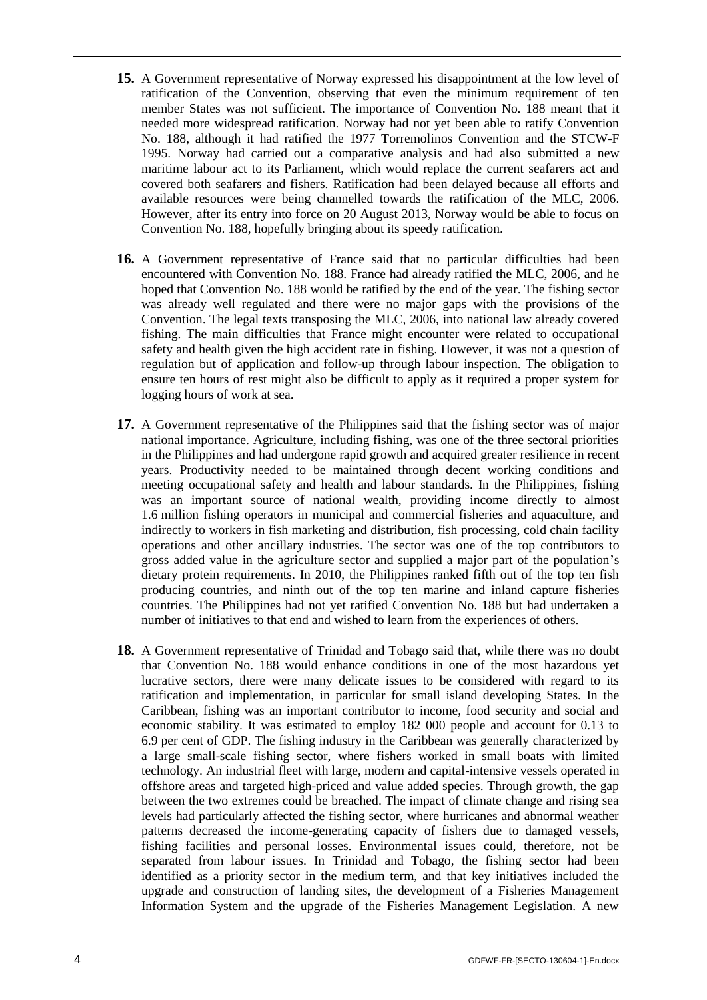- **15.** A Government representative of Norway expressed his disappointment at the low level of ratification of the Convention, observing that even the minimum requirement of ten member States was not sufficient. The importance of Convention No. 188 meant that it needed more widespread ratification. Norway had not yet been able to ratify Convention No. 188, although it had ratified the 1977 Torremolinos Convention and the STCW-F 1995. Norway had carried out a comparative analysis and had also submitted a new maritime labour act to its Parliament, which would replace the current seafarers act and covered both seafarers and fishers. Ratification had been delayed because all efforts and available resources were being channelled towards the ratification of the MLC, 2006. However, after its entry into force on 20 August 2013, Norway would be able to focus on Convention No. 188, hopefully bringing about its speedy ratification.
- **16.** A Government representative of France said that no particular difficulties had been encountered with Convention No. 188. France had already ratified the MLC, 2006, and he hoped that Convention No. 188 would be ratified by the end of the year. The fishing sector was already well regulated and there were no major gaps with the provisions of the Convention. The legal texts transposing the MLC, 2006, into national law already covered fishing. The main difficulties that France might encounter were related to occupational safety and health given the high accident rate in fishing. However, it was not a question of regulation but of application and follow-up through labour inspection. The obligation to ensure ten hours of rest might also be difficult to apply as it required a proper system for logging hours of work at sea.
- **17.** A Government representative of the Philippines said that the fishing sector was of major national importance. Agriculture, including fishing, was one of the three sectoral priorities in the Philippines and had undergone rapid growth and acquired greater resilience in recent years. Productivity needed to be maintained through decent working conditions and meeting occupational safety and health and labour standards. In the Philippines, fishing was an important source of national wealth, providing income directly to almost 1.6 million fishing operators in municipal and commercial fisheries and aquaculture, and indirectly to workers in fish marketing and distribution, fish processing, cold chain facility operations and other ancillary industries. The sector was one of the top contributors to gross added value in the agriculture sector and supplied a major part of the population's dietary protein requirements. In 2010, the Philippines ranked fifth out of the top ten fish producing countries, and ninth out of the top ten marine and inland capture fisheries countries. The Philippines had not yet ratified Convention No. 188 but had undertaken a number of initiatives to that end and wished to learn from the experiences of others.
- **18.** A Government representative of Trinidad and Tobago said that, while there was no doubt that Convention No. 188 would enhance conditions in one of the most hazardous yet lucrative sectors, there were many delicate issues to be considered with regard to its ratification and implementation, in particular for small island developing States. In the Caribbean, fishing was an important contributor to income, food security and social and economic stability. It was estimated to employ 182 000 people and account for 0.13 to 6.9 per cent of GDP. The fishing industry in the Caribbean was generally characterized by a large small-scale fishing sector, where fishers worked in small boats with limited technology. An industrial fleet with large, modern and capital-intensive vessels operated in offshore areas and targeted high-priced and value added species. Through growth, the gap between the two extremes could be breached. The impact of climate change and rising sea levels had particularly affected the fishing sector, where hurricanes and abnormal weather patterns decreased the income-generating capacity of fishers due to damaged vessels, fishing facilities and personal losses. Environmental issues could, therefore, not be separated from labour issues. In Trinidad and Tobago, the fishing sector had been identified as a priority sector in the medium term, and that key initiatives included the upgrade and construction of landing sites, the development of a Fisheries Management Information System and the upgrade of the Fisheries Management Legislation. A new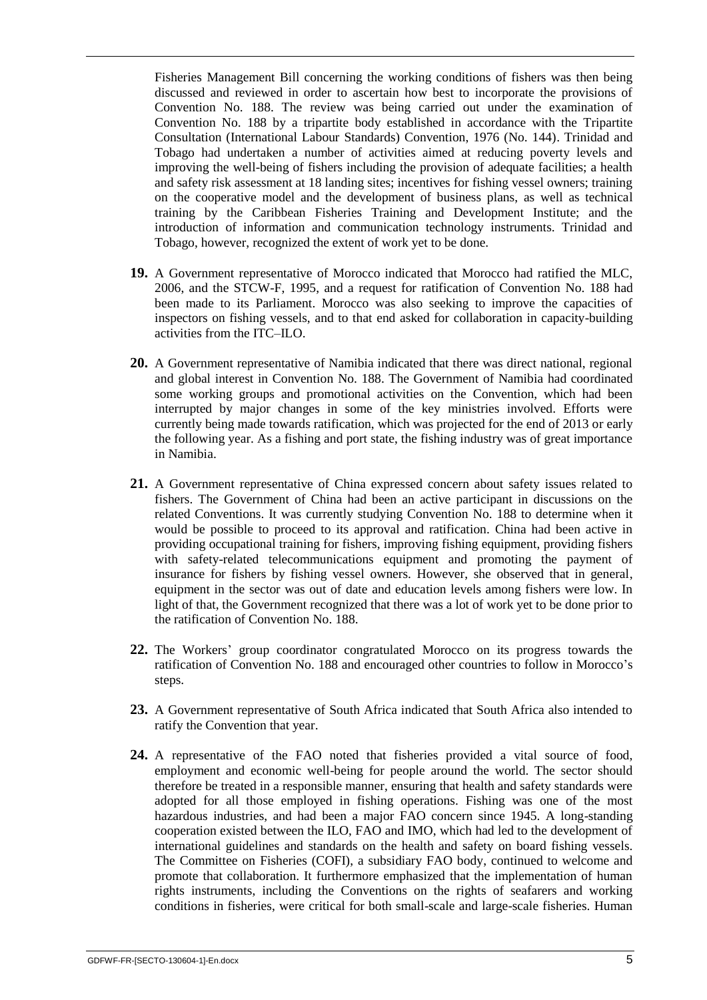Fisheries Management Bill concerning the working conditions of fishers was then being discussed and reviewed in order to ascertain how best to incorporate the provisions of Convention No. 188. The review was being carried out under the examination of Convention No. 188 by a tripartite body established in accordance with the Tripartite Consultation (International Labour Standards) Convention, 1976 (No. 144). Trinidad and Tobago had undertaken a number of activities aimed at reducing poverty levels and improving the well-being of fishers including the provision of adequate facilities; a health and safety risk assessment at 18 landing sites; incentives for fishing vessel owners; training on the cooperative model and the development of business plans, as well as technical training by the Caribbean Fisheries Training and Development Institute; and the introduction of information and communication technology instruments. Trinidad and Tobago, however, recognized the extent of work yet to be done.

- **19.** A Government representative of Morocco indicated that Morocco had ratified the MLC, 2006, and the STCW-F, 1995, and a request for ratification of Convention No. 188 had been made to its Parliament. Morocco was also seeking to improve the capacities of inspectors on fishing vessels, and to that end asked for collaboration in capacity-building activities from the ITC–ILO.
- **20.** A Government representative of Namibia indicated that there was direct national, regional and global interest in Convention No. 188. The Government of Namibia had coordinated some working groups and promotional activities on the Convention, which had been interrupted by major changes in some of the key ministries involved. Efforts were currently being made towards ratification, which was projected for the end of 2013 or early the following year. As a fishing and port state, the fishing industry was of great importance in Namibia.
- **21.** A Government representative of China expressed concern about safety issues related to fishers. The Government of China had been an active participant in discussions on the related Conventions. It was currently studying Convention No. 188 to determine when it would be possible to proceed to its approval and ratification. China had been active in providing occupational training for fishers, improving fishing equipment, providing fishers with safety-related telecommunications equipment and promoting the payment of insurance for fishers by fishing vessel owners. However, she observed that in general, equipment in the sector was out of date and education levels among fishers were low. In light of that, the Government recognized that there was a lot of work yet to be done prior to the ratification of Convention No. 188.
- **22.** The Workers' group coordinator congratulated Morocco on its progress towards the ratification of Convention No. 188 and encouraged other countries to follow in Morocco's steps.
- **23.** A Government representative of South Africa indicated that South Africa also intended to ratify the Convention that year.
- **24.** A representative of the FAO noted that fisheries provided a vital source of food, employment and economic well-being for people around the world. The sector should therefore be treated in a responsible manner, ensuring that health and safety standards were adopted for all those employed in fishing operations. Fishing was one of the most hazardous industries, and had been a major FAO concern since 1945. A long-standing cooperation existed between the ILO, FAO and IMO, which had led to the development of international guidelines and standards on the health and safety on board fishing vessels. The Committee on Fisheries (COFI), a subsidiary FAO body, continued to welcome and promote that collaboration. It furthermore emphasized that the implementation of human rights instruments, including the Conventions on the rights of seafarers and working conditions in fisheries, were critical for both small-scale and large-scale fisheries. Human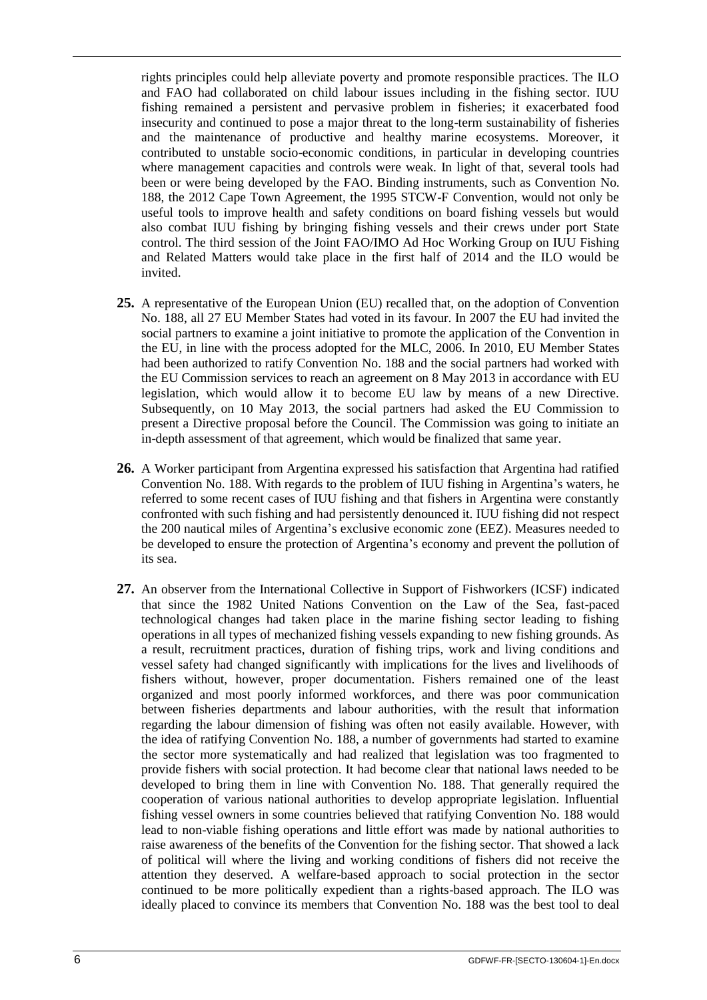rights principles could help alleviate poverty and promote responsible practices. The ILO and FAO had collaborated on child labour issues including in the fishing sector. IUU fishing remained a persistent and pervasive problem in fisheries; it exacerbated food insecurity and continued to pose a major threat to the long-term sustainability of fisheries and the maintenance of productive and healthy marine ecosystems. Moreover, it contributed to unstable socio-economic conditions, in particular in developing countries where management capacities and controls were weak. In light of that, several tools had been or were being developed by the FAO. Binding instruments, such as Convention No. 188, the 2012 Cape Town Agreement, the 1995 STCW-F Convention, would not only be useful tools to improve health and safety conditions on board fishing vessels but would also combat IUU fishing by bringing fishing vessels and their crews under port State control. The third session of the Joint FAO/IMO Ad Hoc Working Group on IUU Fishing and Related Matters would take place in the first half of 2014 and the ILO would be invited.

- **25.** A representative of the European Union (EU) recalled that, on the adoption of Convention No. 188, all 27 EU Member States had voted in its favour. In 2007 the EU had invited the social partners to examine a joint initiative to promote the application of the Convention in the EU, in line with the process adopted for the MLC, 2006. In 2010, EU Member States had been authorized to ratify Convention No. 188 and the social partners had worked with the EU Commission services to reach an agreement on 8 May 2013 in accordance with EU legislation, which would allow it to become EU law by means of a new Directive. Subsequently, on 10 May 2013, the social partners had asked the EU Commission to present a Directive proposal before the Council. The Commission was going to initiate an in-depth assessment of that agreement, which would be finalized that same year.
- **26.** A Worker participant from Argentina expressed his satisfaction that Argentina had ratified Convention No. 188. With regards to the problem of IUU fishing in Argentina's waters, he referred to some recent cases of IUU fishing and that fishers in Argentina were constantly confronted with such fishing and had persistently denounced it. IUU fishing did not respect the 200 nautical miles of Argentina's exclusive economic zone (EEZ). Measures needed to be developed to ensure the protection of Argentina's economy and prevent the pollution of its sea.
- **27.** An observer from the International Collective in Support of Fishworkers (ICSF) indicated that since the 1982 United Nations Convention on the Law of the Sea, fast-paced technological changes had taken place in the marine fishing sector leading to fishing operations in all types of mechanized fishing vessels expanding to new fishing grounds. As a result, recruitment practices, duration of fishing trips, work and living conditions and vessel safety had changed significantly with implications for the lives and livelihoods of fishers without, however, proper documentation. Fishers remained one of the least organized and most poorly informed workforces, and there was poor communication between fisheries departments and labour authorities, with the result that information regarding the labour dimension of fishing was often not easily available. However, with the idea of ratifying Convention No. 188, a number of governments had started to examine the sector more systematically and had realized that legislation was too fragmented to provide fishers with social protection. It had become clear that national laws needed to be developed to bring them in line with Convention No. 188. That generally required the cooperation of various national authorities to develop appropriate legislation. Influential fishing vessel owners in some countries believed that ratifying Convention No. 188 would lead to non-viable fishing operations and little effort was made by national authorities to raise awareness of the benefits of the Convention for the fishing sector. That showed a lack of political will where the living and working conditions of fishers did not receive the attention they deserved. A welfare-based approach to social protection in the sector continued to be more politically expedient than a rights-based approach. The ILO was ideally placed to convince its members that Convention No. 188 was the best tool to deal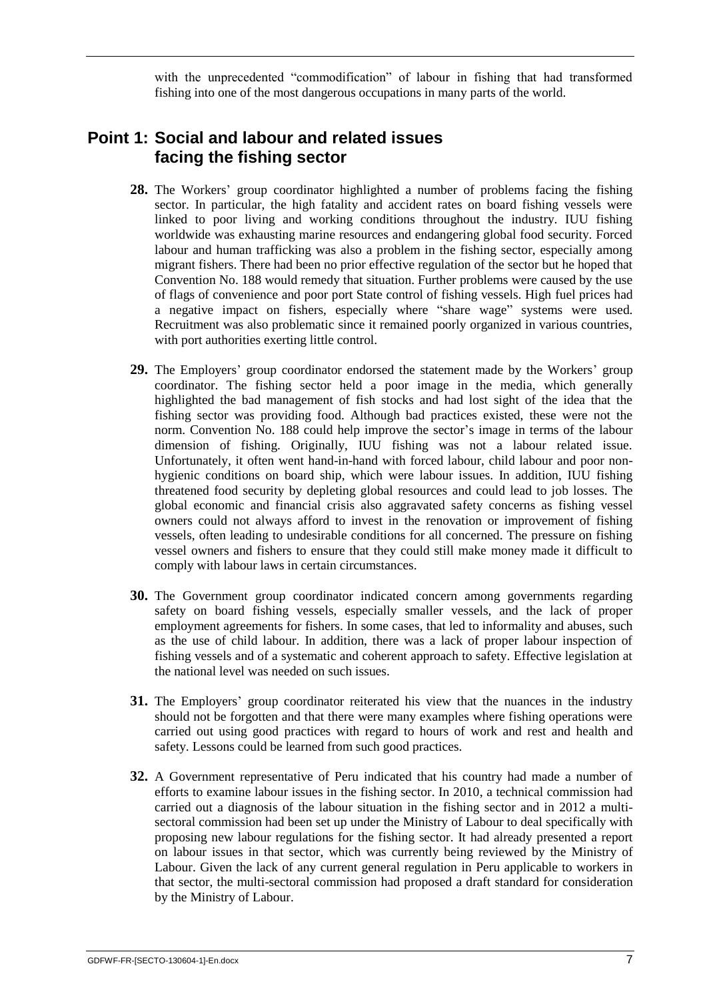with the unprecedented "commodification" of labour in fishing that had transformed fishing into one of the most dangerous occupations in many parts of the world.

## <span id="page-10-0"></span>**Point 1: Social and labour and related issues facing the fishing sector**

- **28.** The Workers' group coordinator highlighted a number of problems facing the fishing sector. In particular, the high fatality and accident rates on board fishing vessels were linked to poor living and working conditions throughout the industry. IUU fishing worldwide was exhausting marine resources and endangering global food security. Forced labour and human trafficking was also a problem in the fishing sector, especially among migrant fishers. There had been no prior effective regulation of the sector but he hoped that Convention No. 188 would remedy that situation. Further problems were caused by the use of flags of convenience and poor port State control of fishing vessels. High fuel prices had a negative impact on fishers, especially where "share wage" systems were used. Recruitment was also problematic since it remained poorly organized in various countries, with port authorities exerting little control.
- **29.** The Employers' group coordinator endorsed the statement made by the Workers' group coordinator. The fishing sector held a poor image in the media, which generally highlighted the bad management of fish stocks and had lost sight of the idea that the fishing sector was providing food. Although bad practices existed, these were not the norm. Convention No. 188 could help improve the sector's image in terms of the labour dimension of fishing. Originally, IUU fishing was not a labour related issue. Unfortunately, it often went hand-in-hand with forced labour, child labour and poor nonhygienic conditions on board ship, which were labour issues. In addition, IUU fishing threatened food security by depleting global resources and could lead to job losses. The global economic and financial crisis also aggravated safety concerns as fishing vessel owners could not always afford to invest in the renovation or improvement of fishing vessels, often leading to undesirable conditions for all concerned. The pressure on fishing vessel owners and fishers to ensure that they could still make money made it difficult to comply with labour laws in certain circumstances.
- **30.** The Government group coordinator indicated concern among governments regarding safety on board fishing vessels, especially smaller vessels, and the lack of proper employment agreements for fishers. In some cases, that led to informality and abuses, such as the use of child labour. In addition, there was a lack of proper labour inspection of fishing vessels and of a systematic and coherent approach to safety. Effective legislation at the national level was needed on such issues.
- **31.** The Employers' group coordinator reiterated his view that the nuances in the industry should not be forgotten and that there were many examples where fishing operations were carried out using good practices with regard to hours of work and rest and health and safety. Lessons could be learned from such good practices.
- **32.** A Government representative of Peru indicated that his country had made a number of efforts to examine labour issues in the fishing sector. In 2010, a technical commission had carried out a diagnosis of the labour situation in the fishing sector and in 2012 a multisectoral commission had been set up under the Ministry of Labour to deal specifically with proposing new labour regulations for the fishing sector. It had already presented a report on labour issues in that sector, which was currently being reviewed by the Ministry of Labour. Given the lack of any current general regulation in Peru applicable to workers in that sector, the multi-sectoral commission had proposed a draft standard for consideration by the Ministry of Labour.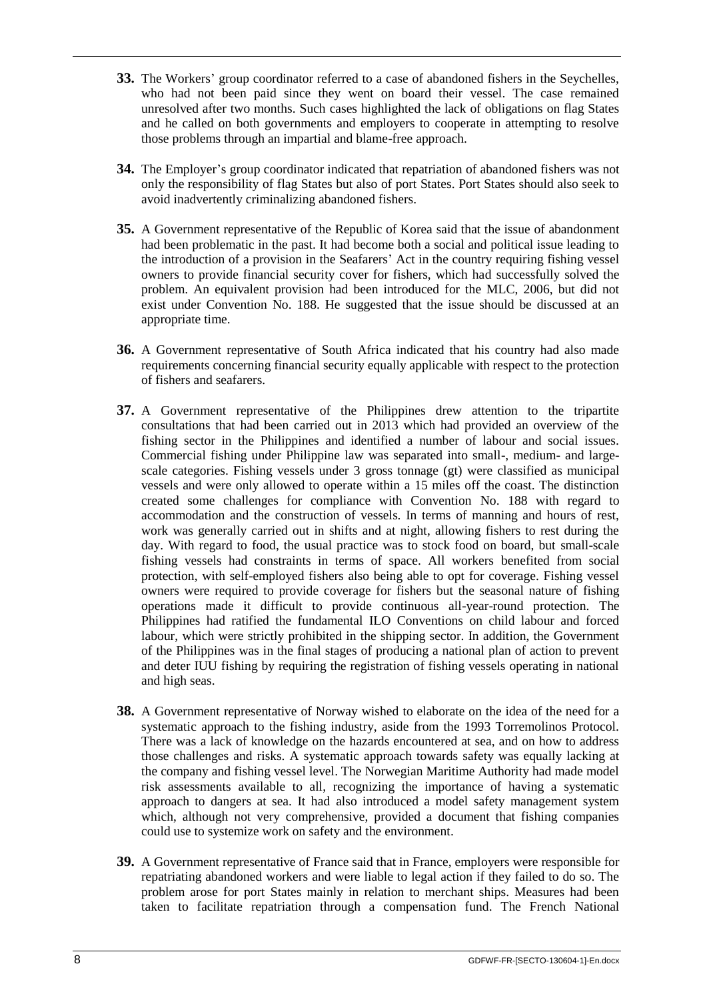- **33.** The Workers' group coordinator referred to a case of abandoned fishers in the Seychelles, who had not been paid since they went on board their vessel. The case remained unresolved after two months. Such cases highlighted the lack of obligations on flag States and he called on both governments and employers to cooperate in attempting to resolve those problems through an impartial and blame-free approach.
- **34.** The Employer's group coordinator indicated that repatriation of abandoned fishers was not only the responsibility of flag States but also of port States. Port States should also seek to avoid inadvertently criminalizing abandoned fishers.
- **35.** A Government representative of the Republic of Korea said that the issue of abandonment had been problematic in the past. It had become both a social and political issue leading to the introduction of a provision in the Seafarers' Act in the country requiring fishing vessel owners to provide financial security cover for fishers, which had successfully solved the problem. An equivalent provision had been introduced for the MLC, 2006, but did not exist under Convention No. 188. He suggested that the issue should be discussed at an appropriate time.
- **36.** A Government representative of South Africa indicated that his country had also made requirements concerning financial security equally applicable with respect to the protection of fishers and seafarers.
- **37.** A Government representative of the Philippines drew attention to the tripartite consultations that had been carried out in 2013 which had provided an overview of the fishing sector in the Philippines and identified a number of labour and social issues. Commercial fishing under Philippine law was separated into small-, medium- and largescale categories. Fishing vessels under 3 gross tonnage (gt) were classified as municipal vessels and were only allowed to operate within a 15 miles off the coast. The distinction created some challenges for compliance with Convention No. 188 with regard to accommodation and the construction of vessels. In terms of manning and hours of rest, work was generally carried out in shifts and at night, allowing fishers to rest during the day. With regard to food, the usual practice was to stock food on board, but small-scale fishing vessels had constraints in terms of space. All workers benefited from social protection, with self-employed fishers also being able to opt for coverage. Fishing vessel owners were required to provide coverage for fishers but the seasonal nature of fishing operations made it difficult to provide continuous all-year-round protection. The Philippines had ratified the fundamental ILO Conventions on child labour and forced labour, which were strictly prohibited in the shipping sector. In addition, the Government of the Philippines was in the final stages of producing a national plan of action to prevent and deter IUU fishing by requiring the registration of fishing vessels operating in national and high seas.
- **38.** A Government representative of Norway wished to elaborate on the idea of the need for a systematic approach to the fishing industry, aside from the 1993 Torremolinos Protocol. There was a lack of knowledge on the hazards encountered at sea, and on how to address those challenges and risks. A systematic approach towards safety was equally lacking at the company and fishing vessel level. The Norwegian Maritime Authority had made model risk assessments available to all, recognizing the importance of having a systematic approach to dangers at sea. It had also introduced a model safety management system which, although not very comprehensive, provided a document that fishing companies could use to systemize work on safety and the environment.
- **39.** A Government representative of France said that in France, employers were responsible for repatriating abandoned workers and were liable to legal action if they failed to do so. The problem arose for port States mainly in relation to merchant ships. Measures had been taken to facilitate repatriation through a compensation fund. The French National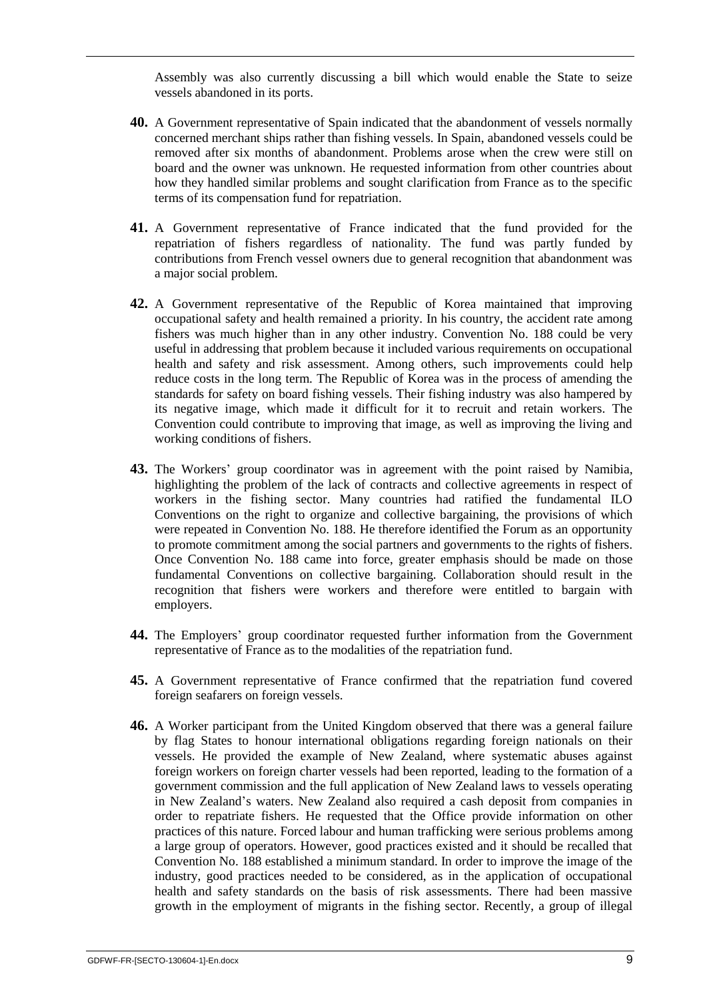Assembly was also currently discussing a bill which would enable the State to seize vessels abandoned in its ports.

- **40.** A Government representative of Spain indicated that the abandonment of vessels normally concerned merchant ships rather than fishing vessels. In Spain, abandoned vessels could be removed after six months of abandonment. Problems arose when the crew were still on board and the owner was unknown. He requested information from other countries about how they handled similar problems and sought clarification from France as to the specific terms of its compensation fund for repatriation.
- **41.** A Government representative of France indicated that the fund provided for the repatriation of fishers regardless of nationality. The fund was partly funded by contributions from French vessel owners due to general recognition that abandonment was a major social problem.
- **42.** A Government representative of the Republic of Korea maintained that improving occupational safety and health remained a priority. In his country, the accident rate among fishers was much higher than in any other industry. Convention No. 188 could be very useful in addressing that problem because it included various requirements on occupational health and safety and risk assessment. Among others, such improvements could help reduce costs in the long term. The Republic of Korea was in the process of amending the standards for safety on board fishing vessels. Their fishing industry was also hampered by its negative image, which made it difficult for it to recruit and retain workers. The Convention could contribute to improving that image, as well as improving the living and working conditions of fishers.
- **43.** The Workers' group coordinator was in agreement with the point raised by Namibia, highlighting the problem of the lack of contracts and collective agreements in respect of workers in the fishing sector. Many countries had ratified the fundamental ILO Conventions on the right to organize and collective bargaining, the provisions of which were repeated in Convention No. 188. He therefore identified the Forum as an opportunity to promote commitment among the social partners and governments to the rights of fishers. Once Convention No. 188 came into force, greater emphasis should be made on those fundamental Conventions on collective bargaining. Collaboration should result in the recognition that fishers were workers and therefore were entitled to bargain with employers.
- **44.** The Employers' group coordinator requested further information from the Government representative of France as to the modalities of the repatriation fund.
- **45.** A Government representative of France confirmed that the repatriation fund covered foreign seafarers on foreign vessels.
- **46.** A Worker participant from the United Kingdom observed that there was a general failure by flag States to honour international obligations regarding foreign nationals on their vessels. He provided the example of New Zealand, where systematic abuses against foreign workers on foreign charter vessels had been reported, leading to the formation of a government commission and the full application of New Zealand laws to vessels operating in New Zealand's waters. New Zealand also required a cash deposit from companies in order to repatriate fishers. He requested that the Office provide information on other practices of this nature. Forced labour and human trafficking were serious problems among a large group of operators. However, good practices existed and it should be recalled that Convention No. 188 established a minimum standard. In order to improve the image of the industry, good practices needed to be considered, as in the application of occupational health and safety standards on the basis of risk assessments. There had been massive growth in the employment of migrants in the fishing sector. Recently, a group of illegal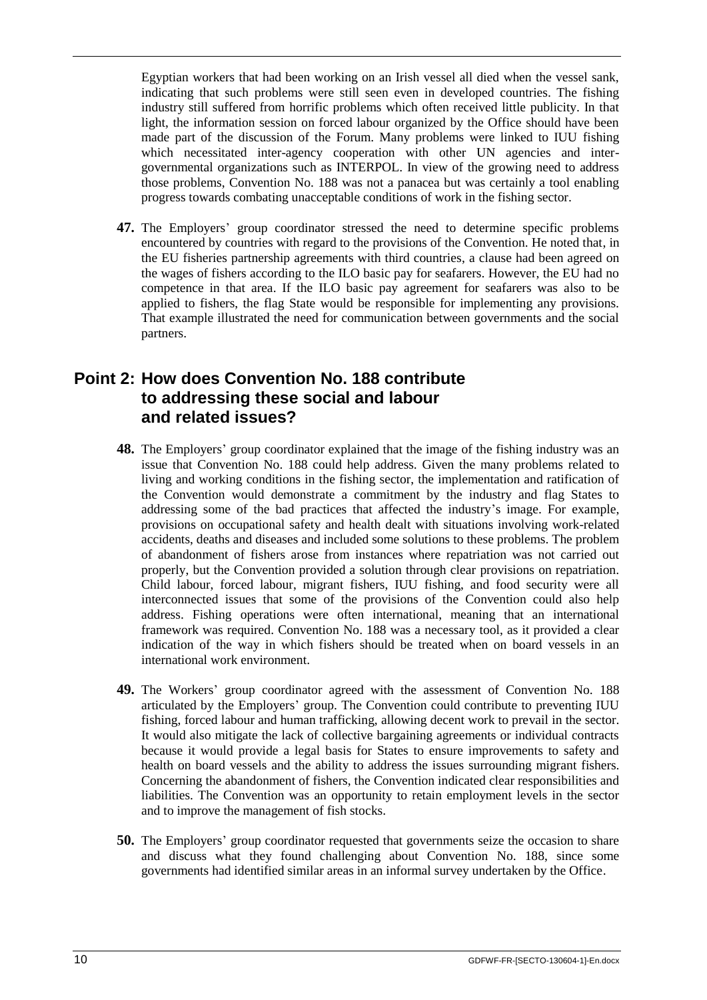Egyptian workers that had been working on an Irish vessel all died when the vessel sank, indicating that such problems were still seen even in developed countries. The fishing industry still suffered from horrific problems which often received little publicity. In that light, the information session on forced labour organized by the Office should have been made part of the discussion of the Forum. Many problems were linked to IUU fishing which necessitated inter-agency cooperation with other UN agencies and intergovernmental organizations such as INTERPOL. In view of the growing need to address those problems, Convention No. 188 was not a panacea but was certainly a tool enabling progress towards combating unacceptable conditions of work in the fishing sector.

**47.** The Employers' group coordinator stressed the need to determine specific problems encountered by countries with regard to the provisions of the Convention. He noted that, in the EU fisheries partnership agreements with third countries, a clause had been agreed on the wages of fishers according to the ILO basic pay for seafarers. However, the EU had no competence in that area. If the ILO basic pay agreement for seafarers was also to be applied to fishers, the flag State would be responsible for implementing any provisions. That example illustrated the need for communication between governments and the social partners.

## <span id="page-13-0"></span>**Point 2: How does Convention No. 188 contribute to addressing these social and labour and related issues?**

- **48.** The Employers' group coordinator explained that the image of the fishing industry was an issue that Convention No. 188 could help address. Given the many problems related to living and working conditions in the fishing sector, the implementation and ratification of the Convention would demonstrate a commitment by the industry and flag States to addressing some of the bad practices that affected the industry's image. For example, provisions on occupational safety and health dealt with situations involving work-related accidents, deaths and diseases and included some solutions to these problems. The problem of abandonment of fishers arose from instances where repatriation was not carried out properly, but the Convention provided a solution through clear provisions on repatriation. Child labour, forced labour, migrant fishers, IUU fishing, and food security were all interconnected issues that some of the provisions of the Convention could also help address. Fishing operations were often international, meaning that an international framework was required. Convention No. 188 was a necessary tool, as it provided a clear indication of the way in which fishers should be treated when on board vessels in an international work environment.
- **49.** The Workers' group coordinator agreed with the assessment of Convention No. 188 articulated by the Employers' group. The Convention could contribute to preventing IUU fishing, forced labour and human trafficking, allowing decent work to prevail in the sector. It would also mitigate the lack of collective bargaining agreements or individual contracts because it would provide a legal basis for States to ensure improvements to safety and health on board vessels and the ability to address the issues surrounding migrant fishers. Concerning the abandonment of fishers, the Convention indicated clear responsibilities and liabilities. The Convention was an opportunity to retain employment levels in the sector and to improve the management of fish stocks.
- **50.** The Employers' group coordinator requested that governments seize the occasion to share and discuss what they found challenging about Convention No. 188, since some governments had identified similar areas in an informal survey undertaken by the Office.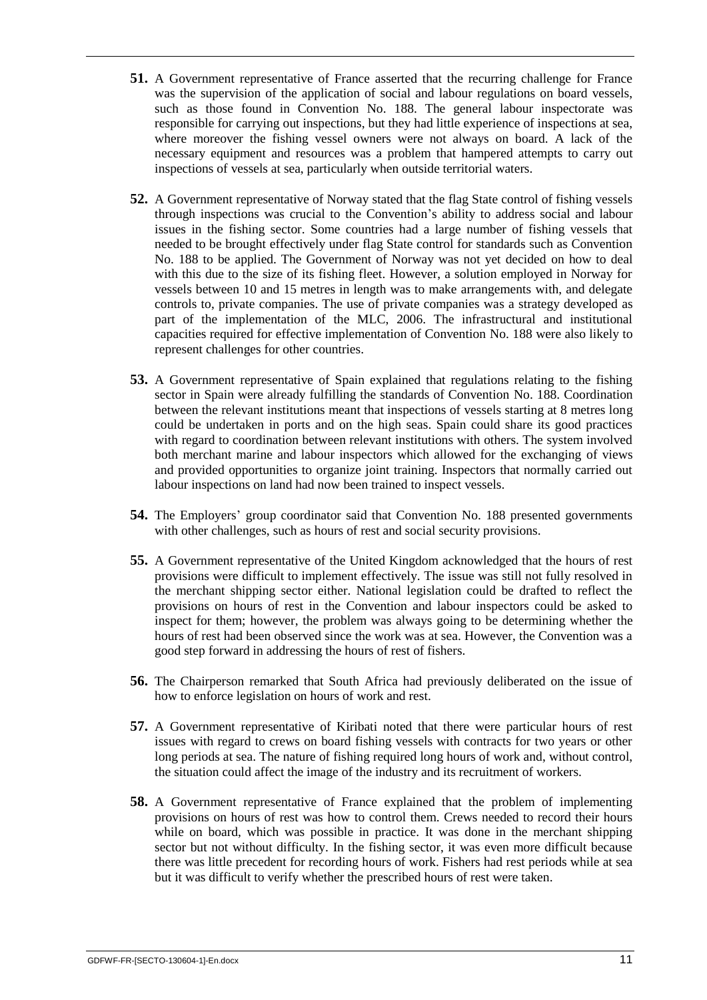- **51.** A Government representative of France asserted that the recurring challenge for France was the supervision of the application of social and labour regulations on board vessels, such as those found in Convention No. 188. The general labour inspectorate was responsible for carrying out inspections, but they had little experience of inspections at sea, where moreover the fishing vessel owners were not always on board. A lack of the necessary equipment and resources was a problem that hampered attempts to carry out inspections of vessels at sea, particularly when outside territorial waters.
- **52.** A Government representative of Norway stated that the flag State control of fishing vessels through inspections was crucial to the Convention's ability to address social and labour issues in the fishing sector. Some countries had a large number of fishing vessels that needed to be brought effectively under flag State control for standards such as Convention No. 188 to be applied. The Government of Norway was not yet decided on how to deal with this due to the size of its fishing fleet. However, a solution employed in Norway for vessels between 10 and 15 metres in length was to make arrangements with, and delegate controls to, private companies. The use of private companies was a strategy developed as part of the implementation of the MLC, 2006. The infrastructural and institutional capacities required for effective implementation of Convention No. 188 were also likely to represent challenges for other countries.
- **53.** A Government representative of Spain explained that regulations relating to the fishing sector in Spain were already fulfilling the standards of Convention No. 188. Coordination between the relevant institutions meant that inspections of vessels starting at 8 metres long could be undertaken in ports and on the high seas. Spain could share its good practices with regard to coordination between relevant institutions with others. The system involved both merchant marine and labour inspectors which allowed for the exchanging of views and provided opportunities to organize joint training. Inspectors that normally carried out labour inspections on land had now been trained to inspect vessels.
- **54.** The Employers' group coordinator said that Convention No. 188 presented governments with other challenges, such as hours of rest and social security provisions.
- **55.** A Government representative of the United Kingdom acknowledged that the hours of rest provisions were difficult to implement effectively. The issue was still not fully resolved in the merchant shipping sector either. National legislation could be drafted to reflect the provisions on hours of rest in the Convention and labour inspectors could be asked to inspect for them; however, the problem was always going to be determining whether the hours of rest had been observed since the work was at sea. However, the Convention was a good step forward in addressing the hours of rest of fishers.
- **56.** The Chairperson remarked that South Africa had previously deliberated on the issue of how to enforce legislation on hours of work and rest.
- **57.** A Government representative of Kiribati noted that there were particular hours of rest issues with regard to crews on board fishing vessels with contracts for two years or other long periods at sea. The nature of fishing required long hours of work and, without control, the situation could affect the image of the industry and its recruitment of workers.
- **58.** A Government representative of France explained that the problem of implementing provisions on hours of rest was how to control them. Crews needed to record their hours while on board, which was possible in practice. It was done in the merchant shipping sector but not without difficulty. In the fishing sector, it was even more difficult because there was little precedent for recording hours of work. Fishers had rest periods while at sea but it was difficult to verify whether the prescribed hours of rest were taken.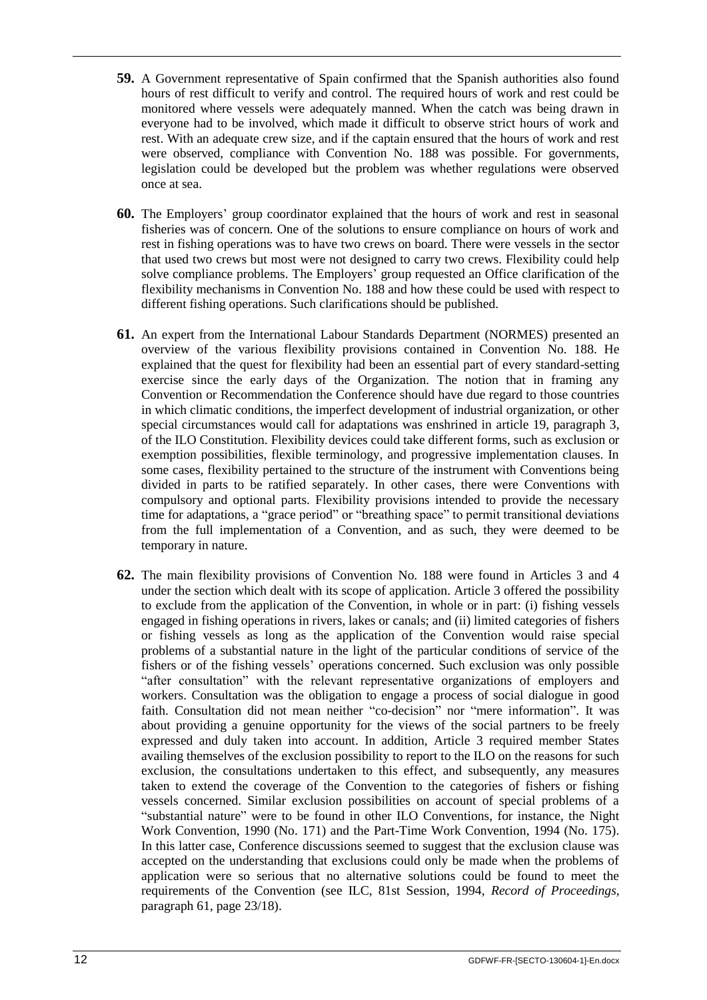- **59.** A Government representative of Spain confirmed that the Spanish authorities also found hours of rest difficult to verify and control. The required hours of work and rest could be monitored where vessels were adequately manned. When the catch was being drawn in everyone had to be involved, which made it difficult to observe strict hours of work and rest. With an adequate crew size, and if the captain ensured that the hours of work and rest were observed, compliance with Convention No. 188 was possible. For governments, legislation could be developed but the problem was whether regulations were observed once at sea.
- **60.** The Employers' group coordinator explained that the hours of work and rest in seasonal fisheries was of concern. One of the solutions to ensure compliance on hours of work and rest in fishing operations was to have two crews on board. There were vessels in the sector that used two crews but most were not designed to carry two crews. Flexibility could help solve compliance problems. The Employers' group requested an Office clarification of the flexibility mechanisms in Convention No. 188 and how these could be used with respect to different fishing operations. Such clarifications should be published.
- **61.** An expert from the International Labour Standards Department (NORMES) presented an overview of the various flexibility provisions contained in Convention No. 188. He explained that the quest for flexibility had been an essential part of every standard-setting exercise since the early days of the Organization. The notion that in framing any Convention or Recommendation the Conference should have due regard to those countries in which climatic conditions, the imperfect development of industrial organization, or other special circumstances would call for adaptations was enshrined in article 19, paragraph 3, of the ILO Constitution. Flexibility devices could take different forms, such as exclusion or exemption possibilities, flexible terminology, and progressive implementation clauses. In some cases, flexibility pertained to the structure of the instrument with Conventions being divided in parts to be ratified separately. In other cases, there were Conventions with compulsory and optional parts. Flexibility provisions intended to provide the necessary time for adaptations, a "grace period" or "breathing space" to permit transitional deviations from the full implementation of a Convention, and as such, they were deemed to be temporary in nature.
- **62.** The main flexibility provisions of Convention No. 188 were found in Articles 3 and 4 under the section which dealt with its scope of application. Article 3 offered the possibility to exclude from the application of the Convention, in whole or in part: (i) fishing vessels engaged in fishing operations in rivers, lakes or canals; and (ii) limited categories of fishers or fishing vessels as long as the application of the Convention would raise special problems of a substantial nature in the light of the particular conditions of service of the fishers or of the fishing vessels' operations concerned. Such exclusion was only possible "after consultation" with the relevant representative organizations of employers and workers. Consultation was the obligation to engage a process of social dialogue in good faith. Consultation did not mean neither "co-decision" nor "mere information". It was about providing a genuine opportunity for the views of the social partners to be freely expressed and duly taken into account. In addition, Article 3 required member States availing themselves of the exclusion possibility to report to the ILO on the reasons for such exclusion, the consultations undertaken to this effect, and subsequently, any measures taken to extend the coverage of the Convention to the categories of fishers or fishing vessels concerned. Similar exclusion possibilities on account of special problems of a "substantial nature" were to be found in other ILO Conventions, for instance, the Night Work Convention, 1990 (No. 171) and the Part-Time Work Convention, 1994 (No. 175). In this latter case, Conference discussions seemed to suggest that the exclusion clause was accepted on the understanding that exclusions could only be made when the problems of application were so serious that no alternative solutions could be found to meet the requirements of the Convention (see ILC, 81st Session, 1994, *Record of Proceedings*, paragraph 61, page 23/18).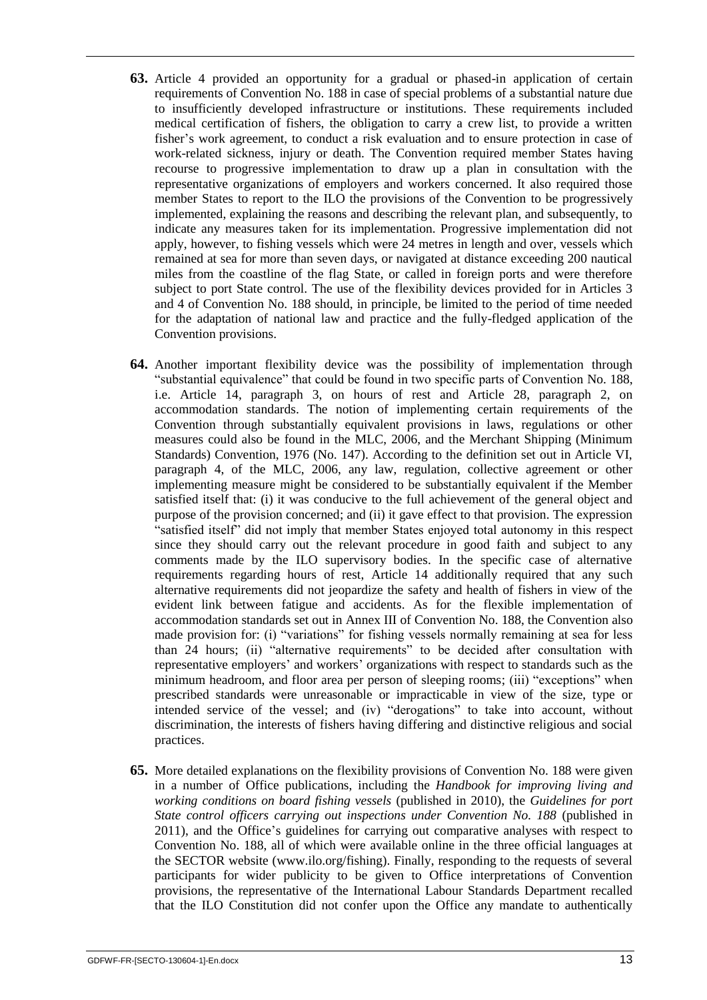- **63.** Article 4 provided an opportunity for a gradual or phased-in application of certain requirements of Convention No. 188 in case of special problems of a substantial nature due to insufficiently developed infrastructure or institutions. These requirements included medical certification of fishers, the obligation to carry a crew list, to provide a written fisher's work agreement, to conduct a risk evaluation and to ensure protection in case of work-related sickness, injury or death. The Convention required member States having recourse to progressive implementation to draw up a plan in consultation with the representative organizations of employers and workers concerned. It also required those member States to report to the ILO the provisions of the Convention to be progressively implemented, explaining the reasons and describing the relevant plan, and subsequently, to indicate any measures taken for its implementation. Progressive implementation did not apply, however, to fishing vessels which were 24 metres in length and over, vessels which remained at sea for more than seven days, or navigated at distance exceeding 200 nautical miles from the coastline of the flag State, or called in foreign ports and were therefore subject to port State control. The use of the flexibility devices provided for in Articles 3 and 4 of Convention No. 188 should, in principle, be limited to the period of time needed for the adaptation of national law and practice and the fully-fledged application of the Convention provisions.
- **64.** Another important flexibility device was the possibility of implementation through "substantial equivalence" that could be found in two specific parts of Convention No. 188, i.e. Article 14, paragraph 3, on hours of rest and Article 28, paragraph 2, on accommodation standards. The notion of implementing certain requirements of the Convention through substantially equivalent provisions in laws, regulations or other measures could also be found in the MLC, 2006, and the Merchant Shipping (Minimum Standards) Convention, 1976 (No. 147). According to the definition set out in Article VI, paragraph 4, of the MLC, 2006, any law, regulation, collective agreement or other implementing measure might be considered to be substantially equivalent if the Member satisfied itself that: (i) it was conducive to the full achievement of the general object and purpose of the provision concerned; and (ii) it gave effect to that provision. The expression "satisfied itself" did not imply that member States enjoyed total autonomy in this respect since they should carry out the relevant procedure in good faith and subject to any comments made by the ILO supervisory bodies. In the specific case of alternative requirements regarding hours of rest, Article 14 additionally required that any such alternative requirements did not jeopardize the safety and health of fishers in view of the evident link between fatigue and accidents. As for the flexible implementation of accommodation standards set out in Annex III of Convention No. 188, the Convention also made provision for: (i) "variations" for fishing vessels normally remaining at sea for less than 24 hours; (ii) "alternative requirements" to be decided after consultation with representative employers' and workers' organizations with respect to standards such as the minimum headroom, and floor area per person of sleeping rooms; (iii) "exceptions" when prescribed standards were unreasonable or impracticable in view of the size, type or intended service of the vessel; and (iv) "derogations" to take into account, without discrimination, the interests of fishers having differing and distinctive religious and social practices.
- **65.** More detailed explanations on the flexibility provisions of Convention No. 188 were given in a number of Office publications, including the *Handbook for improving living and working conditions on board fishing vessels* (published in 2010), the *Guidelines for port State control officers carrying out inspections under Convention No. 188* (published in 2011), and the Office's guidelines for carrying out comparative analyses with respect to Convention No. 188, all of which were available online in the three official languages at the SECTOR website (www.ilo.org/fishing). Finally, responding to the requests of several participants for wider publicity to be given to Office interpretations of Convention provisions, the representative of the International Labour Standards Department recalled that the ILO Constitution did not confer upon the Office any mandate to authentically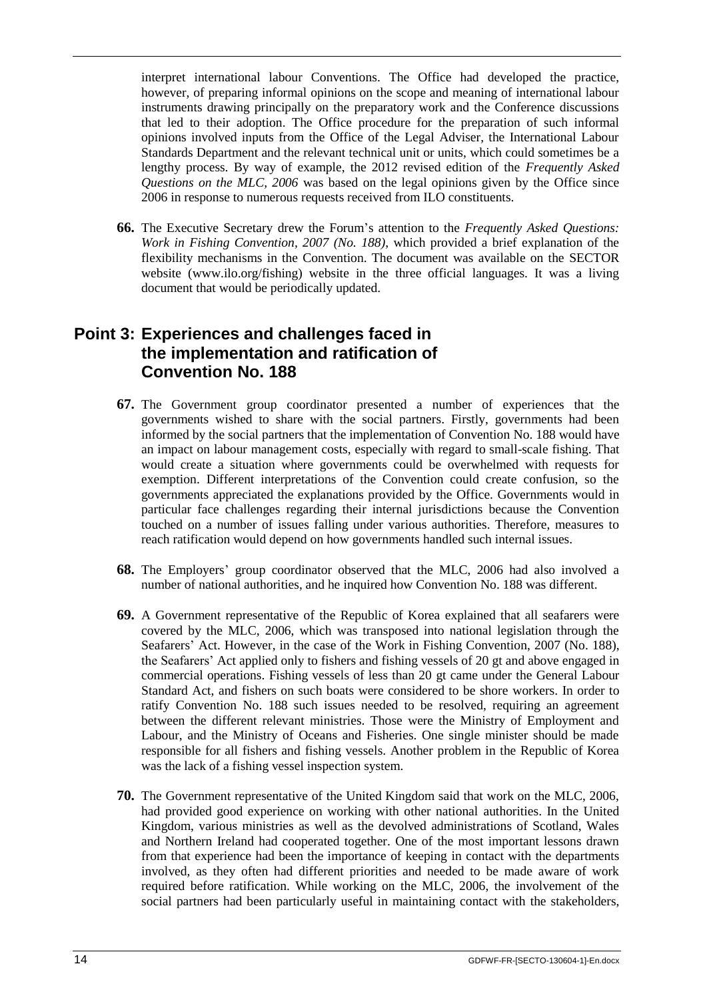interpret international labour Conventions. The Office had developed the practice, however, of preparing informal opinions on the scope and meaning of international labour instruments drawing principally on the preparatory work and the Conference discussions that led to their adoption. The Office procedure for the preparation of such informal opinions involved inputs from the Office of the Legal Adviser, the International Labour Standards Department and the relevant technical unit or units, which could sometimes be a lengthy process. By way of example, the 2012 revised edition of the *Frequently Asked Questions on the MLC, 2006* was based on the legal opinions given by the Office since 2006 in response to numerous requests received from ILO constituents.

**66.** The Executive Secretary drew the Forum's attention to the *Frequently Asked Questions: Work in Fishing Convention, 2007 (No. 188)*, which provided a brief explanation of the flexibility mechanisms in the Convention. The document was available on the SECTOR website (www.ilo.org/fishing) website in the three official languages. It was a living document that would be periodically updated.

## <span id="page-17-0"></span>**Point 3: Experiences and challenges faced in the implementation and ratification of Convention No. 188**

- **67.** The Government group coordinator presented a number of experiences that the governments wished to share with the social partners. Firstly, governments had been informed by the social partners that the implementation of Convention No. 188 would have an impact on labour management costs, especially with regard to small-scale fishing. That would create a situation where governments could be overwhelmed with requests for exemption. Different interpretations of the Convention could create confusion, so the governments appreciated the explanations provided by the Office. Governments would in particular face challenges regarding their internal jurisdictions because the Convention touched on a number of issues falling under various authorities. Therefore, measures to reach ratification would depend on how governments handled such internal issues.
- **68.** The Employers' group coordinator observed that the MLC, 2006 had also involved a number of national authorities, and he inquired how Convention No. 188 was different.
- **69.** A Government representative of the Republic of Korea explained that all seafarers were covered by the MLC, 2006, which was transposed into national legislation through the Seafarers' Act. However, in the case of the Work in Fishing Convention, 2007 (No. 188), the Seafarers' Act applied only to fishers and fishing vessels of 20 gt and above engaged in commercial operations. Fishing vessels of less than 20 gt came under the General Labour Standard Act, and fishers on such boats were considered to be shore workers. In order to ratify Convention No. 188 such issues needed to be resolved, requiring an agreement between the different relevant ministries. Those were the Ministry of Employment and Labour, and the Ministry of Oceans and Fisheries. One single minister should be made responsible for all fishers and fishing vessels. Another problem in the Republic of Korea was the lack of a fishing vessel inspection system.
- **70.** The Government representative of the United Kingdom said that work on the MLC, 2006, had provided good experience on working with other national authorities. In the United Kingdom, various ministries as well as the devolved administrations of Scotland, Wales and Northern Ireland had cooperated together. One of the most important lessons drawn from that experience had been the importance of keeping in contact with the departments involved, as they often had different priorities and needed to be made aware of work required before ratification. While working on the MLC, 2006, the involvement of the social partners had been particularly useful in maintaining contact with the stakeholders,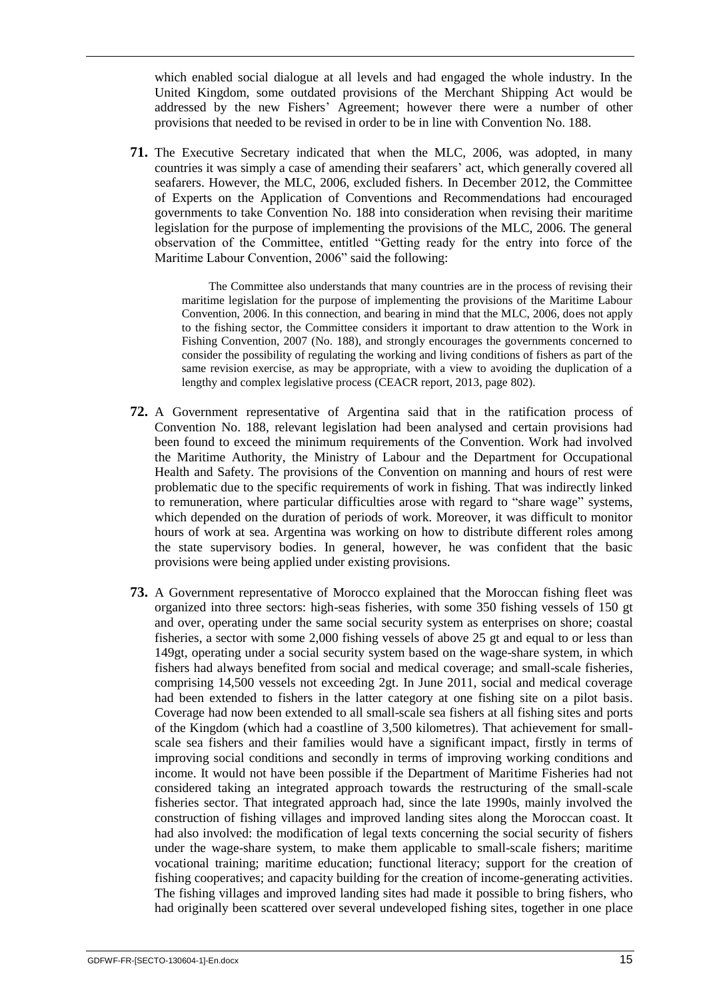which enabled social dialogue at all levels and had engaged the whole industry. In the United Kingdom, some outdated provisions of the Merchant Shipping Act would be addressed by the new Fishers' Agreement; however there were a number of other provisions that needed to be revised in order to be in line with Convention No. 188.

**71.** The Executive Secretary indicated that when the MLC, 2006, was adopted, in many countries it was simply a case of amending their seafarers' act, which generally covered all seafarers. However, the MLC, 2006, excluded fishers. In December 2012, the Committee of Experts on the Application of Conventions and Recommendations had encouraged governments to take Convention No. 188 into consideration when revising their maritime legislation for the purpose of implementing the provisions of the MLC, 2006. The general observation of the Committee, entitled "Getting ready for the entry into force of the Maritime Labour Convention, 2006" said the following:

> The Committee also understands that many countries are in the process of revising their maritime legislation for the purpose of implementing the provisions of the Maritime Labour Convention, 2006. In this connection, and bearing in mind that the MLC, 2006, does not apply to the fishing sector, the Committee considers it important to draw attention to the Work in Fishing Convention, 2007 (No. 188), and strongly encourages the governments concerned to consider the possibility of regulating the working and living conditions of fishers as part of the same revision exercise, as may be appropriate, with a view to avoiding the duplication of a lengthy and complex legislative process (CEACR report, 2013, page 802).

- **72.** A Government representative of Argentina said that in the ratification process of Convention No. 188, relevant legislation had been analysed and certain provisions had been found to exceed the minimum requirements of the Convention. Work had involved the Maritime Authority, the Ministry of Labour and the Department for Occupational Health and Safety. The provisions of the Convention on manning and hours of rest were problematic due to the specific requirements of work in fishing. That was indirectly linked to remuneration, where particular difficulties arose with regard to "share wage" systems, which depended on the duration of periods of work. Moreover, it was difficult to monitor hours of work at sea. Argentina was working on how to distribute different roles among the state supervisory bodies. In general, however, he was confident that the basic provisions were being applied under existing provisions.
- **73.** A Government representative of Morocco explained that the Moroccan fishing fleet was organized into three sectors: high-seas fisheries, with some 350 fishing vessels of 150 gt and over, operating under the same social security system as enterprises on shore; coastal fisheries, a sector with some 2,000 fishing vessels of above 25 gt and equal to or less than 149gt, operating under a social security system based on the wage-share system, in which fishers had always benefited from social and medical coverage; and small-scale fisheries, comprising 14,500 vessels not exceeding 2gt. In June 2011, social and medical coverage had been extended to fishers in the latter category at one fishing site on a pilot basis. Coverage had now been extended to all small-scale sea fishers at all fishing sites and ports of the Kingdom (which had a coastline of 3,500 kilometres). That achievement for smallscale sea fishers and their families would have a significant impact, firstly in terms of improving social conditions and secondly in terms of improving working conditions and income. It would not have been possible if the Department of Maritime Fisheries had not considered taking an integrated approach towards the restructuring of the small-scale fisheries sector. That integrated approach had, since the late 1990s, mainly involved the construction of fishing villages and improved landing sites along the Moroccan coast. It had also involved: the modification of legal texts concerning the social security of fishers under the wage-share system, to make them applicable to small-scale fishers; maritime vocational training; maritime education; functional literacy; support for the creation of fishing cooperatives; and capacity building for the creation of income-generating activities. The fishing villages and improved landing sites had made it possible to bring fishers, who had originally been scattered over several undeveloped fishing sites, together in one place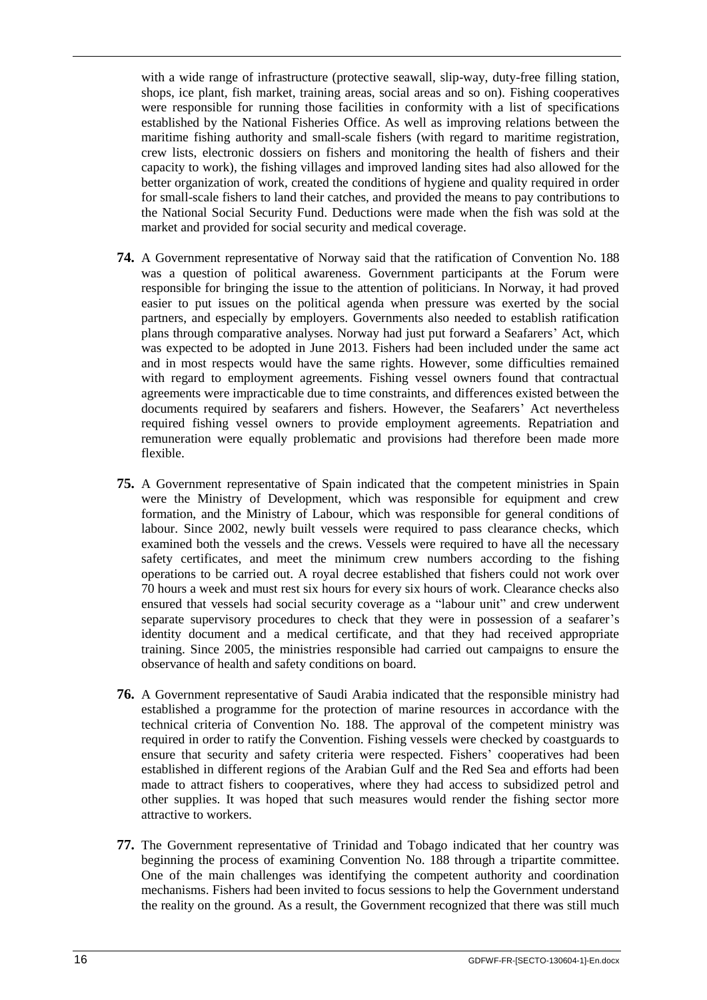with a wide range of infrastructure (protective seawall, slip-way, duty-free filling station, shops, ice plant, fish market, training areas, social areas and so on). Fishing cooperatives were responsible for running those facilities in conformity with a list of specifications established by the National Fisheries Office. As well as improving relations between the maritime fishing authority and small-scale fishers (with regard to maritime registration, crew lists, electronic dossiers on fishers and monitoring the health of fishers and their capacity to work), the fishing villages and improved landing sites had also allowed for the better organization of work, created the conditions of hygiene and quality required in order for small-scale fishers to land their catches, and provided the means to pay contributions to the National Social Security Fund. Deductions were made when the fish was sold at the market and provided for social security and medical coverage.

- **74.** A Government representative of Norway said that the ratification of Convention No. 188 was a question of political awareness. Government participants at the Forum were responsible for bringing the issue to the attention of politicians. In Norway, it had proved easier to put issues on the political agenda when pressure was exerted by the social partners, and especially by employers. Governments also needed to establish ratification plans through comparative analyses. Norway had just put forward a Seafarers' Act, which was expected to be adopted in June 2013. Fishers had been included under the same act and in most respects would have the same rights. However, some difficulties remained with regard to employment agreements. Fishing vessel owners found that contractual agreements were impracticable due to time constraints, and differences existed between the documents required by seafarers and fishers. However, the Seafarers' Act nevertheless required fishing vessel owners to provide employment agreements. Repatriation and remuneration were equally problematic and provisions had therefore been made more flexible.
- **75.** A Government representative of Spain indicated that the competent ministries in Spain were the Ministry of Development, which was responsible for equipment and crew formation, and the Ministry of Labour, which was responsible for general conditions of labour. Since 2002, newly built vessels were required to pass clearance checks, which examined both the vessels and the crews. Vessels were required to have all the necessary safety certificates, and meet the minimum crew numbers according to the fishing operations to be carried out. A royal decree established that fishers could not work over 70 hours a week and must rest six hours for every six hours of work. Clearance checks also ensured that vessels had social security coverage as a "labour unit" and crew underwent separate supervisory procedures to check that they were in possession of a seafarer's identity document and a medical certificate, and that they had received appropriate training. Since 2005, the ministries responsible had carried out campaigns to ensure the observance of health and safety conditions on board.
- **76.** A Government representative of Saudi Arabia indicated that the responsible ministry had established a programme for the protection of marine resources in accordance with the technical criteria of Convention No. 188. The approval of the competent ministry was required in order to ratify the Convention. Fishing vessels were checked by coastguards to ensure that security and safety criteria were respected. Fishers' cooperatives had been established in different regions of the Arabian Gulf and the Red Sea and efforts had been made to attract fishers to cooperatives, where they had access to subsidized petrol and other supplies. It was hoped that such measures would render the fishing sector more attractive to workers.
- **77.** The Government representative of Trinidad and Tobago indicated that her country was beginning the process of examining Convention No. 188 through a tripartite committee. One of the main challenges was identifying the competent authority and coordination mechanisms. Fishers had been invited to focus sessions to help the Government understand the reality on the ground. As a result, the Government recognized that there was still much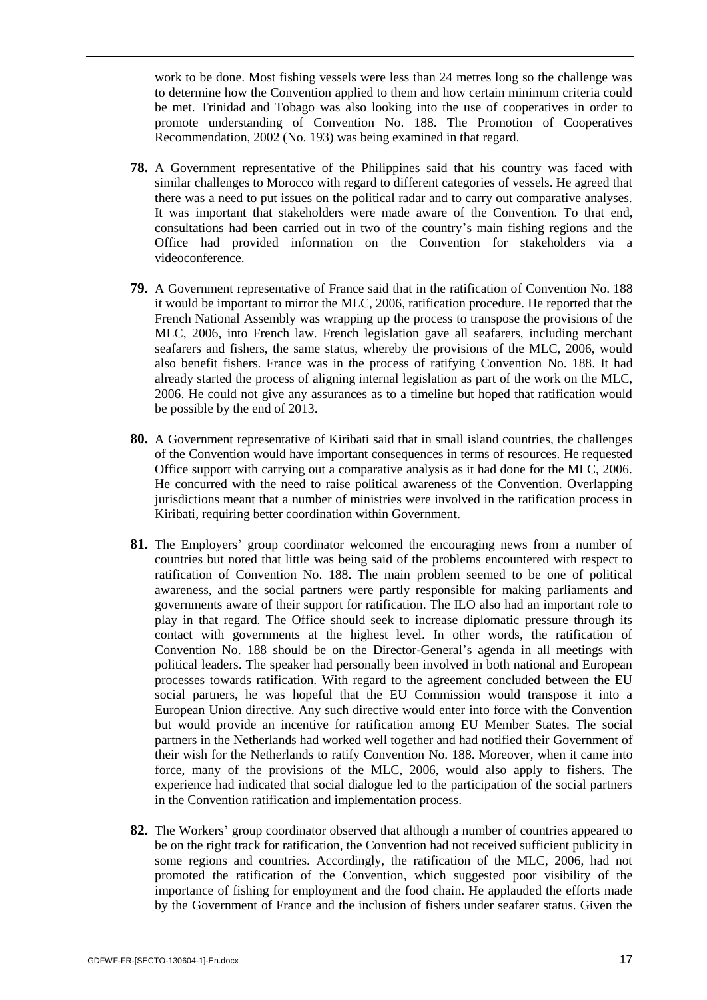work to be done. Most fishing vessels were less than 24 metres long so the challenge was to determine how the Convention applied to them and how certain minimum criteria could be met. Trinidad and Tobago was also looking into the use of cooperatives in order to promote understanding of Convention No. 188. The Promotion of Cooperatives Recommendation, 2002 (No. 193) was being examined in that regard.

- **78.** A Government representative of the Philippines said that his country was faced with similar challenges to Morocco with regard to different categories of vessels. He agreed that there was a need to put issues on the political radar and to carry out comparative analyses. It was important that stakeholders were made aware of the Convention. To that end, consultations had been carried out in two of the country's main fishing regions and the Office had provided information on the Convention for stakeholders via a videoconference.
- **79.** A Government representative of France said that in the ratification of Convention No. 188 it would be important to mirror the MLC, 2006, ratification procedure. He reported that the French National Assembly was wrapping up the process to transpose the provisions of the MLC, 2006, into French law. French legislation gave all seafarers, including merchant seafarers and fishers, the same status, whereby the provisions of the MLC, 2006, would also benefit fishers. France was in the process of ratifying Convention No. 188. It had already started the process of aligning internal legislation as part of the work on the MLC, 2006. He could not give any assurances as to a timeline but hoped that ratification would be possible by the end of 2013.
- **80.** A Government representative of Kiribati said that in small island countries, the challenges of the Convention would have important consequences in terms of resources. He requested Office support with carrying out a comparative analysis as it had done for the MLC, 2006. He concurred with the need to raise political awareness of the Convention. Overlapping jurisdictions meant that a number of ministries were involved in the ratification process in Kiribati, requiring better coordination within Government.
- **81.** The Employers' group coordinator welcomed the encouraging news from a number of countries but noted that little was being said of the problems encountered with respect to ratification of Convention No. 188. The main problem seemed to be one of political awareness, and the social partners were partly responsible for making parliaments and governments aware of their support for ratification. The ILO also had an important role to play in that regard. The Office should seek to increase diplomatic pressure through its contact with governments at the highest level. In other words, the ratification of Convention No. 188 should be on the Director-General's agenda in all meetings with political leaders. The speaker had personally been involved in both national and European processes towards ratification. With regard to the agreement concluded between the EU social partners, he was hopeful that the EU Commission would transpose it into a European Union directive. Any such directive would enter into force with the Convention but would provide an incentive for ratification among EU Member States. The social partners in the Netherlands had worked well together and had notified their Government of their wish for the Netherlands to ratify Convention No. 188. Moreover, when it came into force, many of the provisions of the MLC, 2006, would also apply to fishers. The experience had indicated that social dialogue led to the participation of the social partners in the Convention ratification and implementation process.
- **82.** The Workers' group coordinator observed that although a number of countries appeared to be on the right track for ratification, the Convention had not received sufficient publicity in some regions and countries. Accordingly, the ratification of the MLC, 2006, had not promoted the ratification of the Convention, which suggested poor visibility of the importance of fishing for employment and the food chain. He applauded the efforts made by the Government of France and the inclusion of fishers under seafarer status. Given the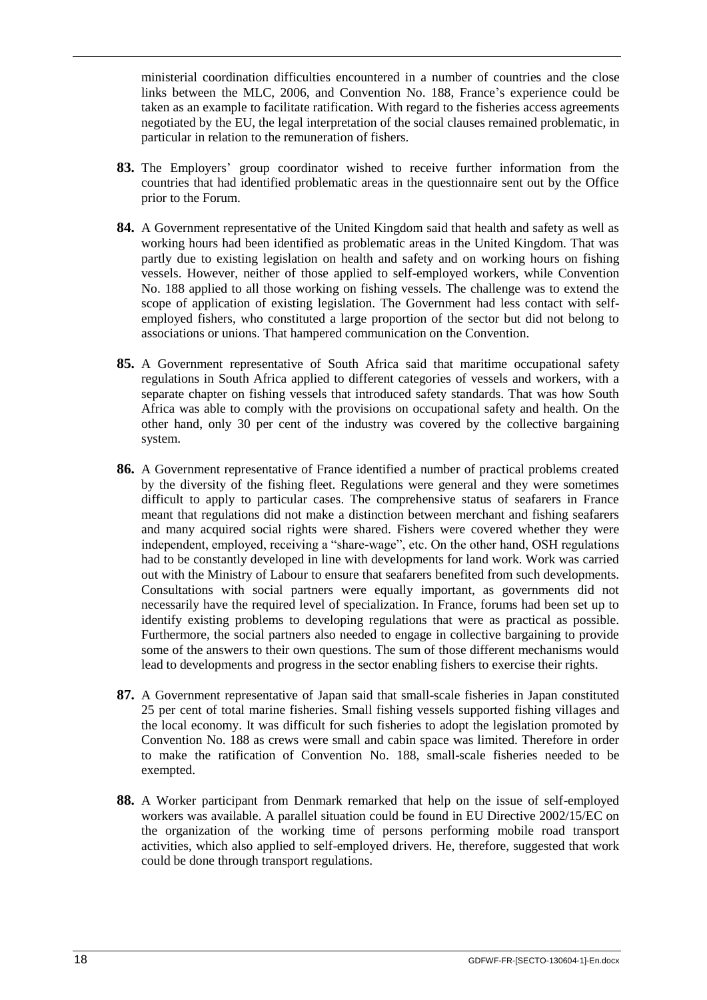ministerial coordination difficulties encountered in a number of countries and the close links between the MLC, 2006, and Convention No. 188, France's experience could be taken as an example to facilitate ratification. With regard to the fisheries access agreements negotiated by the EU, the legal interpretation of the social clauses remained problematic, in particular in relation to the remuneration of fishers.

- **83.** The Employers' group coordinator wished to receive further information from the countries that had identified problematic areas in the questionnaire sent out by the Office prior to the Forum.
- **84.** A Government representative of the United Kingdom said that health and safety as well as working hours had been identified as problematic areas in the United Kingdom. That was partly due to existing legislation on health and safety and on working hours on fishing vessels. However, neither of those applied to self-employed workers, while Convention No. 188 applied to all those working on fishing vessels. The challenge was to extend the scope of application of existing legislation. The Government had less contact with selfemployed fishers, who constituted a large proportion of the sector but did not belong to associations or unions. That hampered communication on the Convention.
- **85.** A Government representative of South Africa said that maritime occupational safety regulations in South Africa applied to different categories of vessels and workers, with a separate chapter on fishing vessels that introduced safety standards. That was how South Africa was able to comply with the provisions on occupational safety and health. On the other hand, only 30 per cent of the industry was covered by the collective bargaining system.
- **86.** A Government representative of France identified a number of practical problems created by the diversity of the fishing fleet. Regulations were general and they were sometimes difficult to apply to particular cases. The comprehensive status of seafarers in France meant that regulations did not make a distinction between merchant and fishing seafarers and many acquired social rights were shared. Fishers were covered whether they were independent, employed, receiving a "share-wage", etc. On the other hand, OSH regulations had to be constantly developed in line with developments for land work. Work was carried out with the Ministry of Labour to ensure that seafarers benefited from such developments. Consultations with social partners were equally important, as governments did not necessarily have the required level of specialization. In France, forums had been set up to identify existing problems to developing regulations that were as practical as possible. Furthermore, the social partners also needed to engage in collective bargaining to provide some of the answers to their own questions. The sum of those different mechanisms would lead to developments and progress in the sector enabling fishers to exercise their rights.
- **87.** A Government representative of Japan said that small-scale fisheries in Japan constituted 25 per cent of total marine fisheries. Small fishing vessels supported fishing villages and the local economy. It was difficult for such fisheries to adopt the legislation promoted by Convention No. 188 as crews were small and cabin space was limited. Therefore in order to make the ratification of Convention No. 188, small-scale fisheries needed to be exempted.
- **88.** A Worker participant from Denmark remarked that help on the issue of self-employed workers was available. A parallel situation could be found in EU Directive 2002/15/EC on the organization of the working time of persons performing mobile road transport activities, which also applied to self-employed drivers. He, therefore, suggested that work could be done through transport regulations.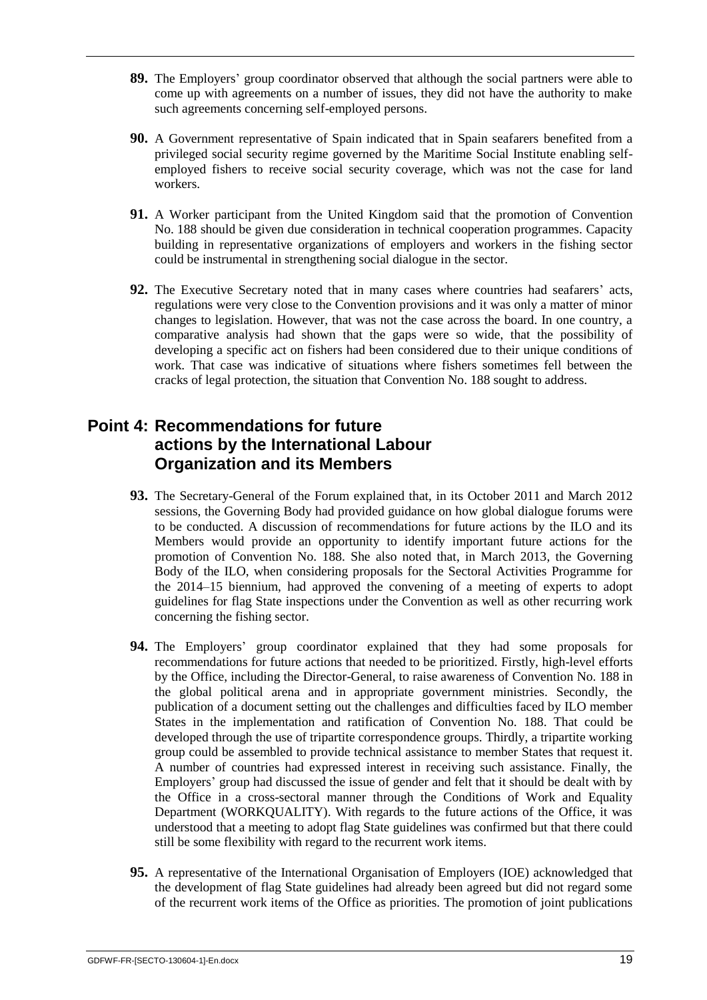- **89.** The Employers' group coordinator observed that although the social partners were able to come up with agreements on a number of issues, they did not have the authority to make such agreements concerning self-employed persons.
- **90.** A Government representative of Spain indicated that in Spain seafarers benefited from a privileged social security regime governed by the Maritime Social Institute enabling selfemployed fishers to receive social security coverage, which was not the case for land workers.
- **91.** A Worker participant from the United Kingdom said that the promotion of Convention No. 188 should be given due consideration in technical cooperation programmes. Capacity building in representative organizations of employers and workers in the fishing sector could be instrumental in strengthening social dialogue in the sector.
- **92.** The Executive Secretary noted that in many cases where countries had seafarers' acts, regulations were very close to the Convention provisions and it was only a matter of minor changes to legislation. However, that was not the case across the board. In one country, a comparative analysis had shown that the gaps were so wide, that the possibility of developing a specific act on fishers had been considered due to their unique conditions of work. That case was indicative of situations where fishers sometimes fell between the cracks of legal protection, the situation that Convention No. 188 sought to address.

## <span id="page-22-0"></span>**Point 4: Recommendations for future actions by the International Labour Organization and its Members**

- **93.** The Secretary-General of the Forum explained that, in its October 2011 and March 2012 sessions, the Governing Body had provided guidance on how global dialogue forums were to be conducted. A discussion of recommendations for future actions by the ILO and its Members would provide an opportunity to identify important future actions for the promotion of Convention No. 188. She also noted that, in March 2013, the Governing Body of the ILO, when considering proposals for the Sectoral Activities Programme for the 2014–15 biennium, had approved the convening of a meeting of experts to adopt guidelines for flag State inspections under the Convention as well as other recurring work concerning the fishing sector.
- **94.** The Employers' group coordinator explained that they had some proposals for recommendations for future actions that needed to be prioritized. Firstly, high-level efforts by the Office, including the Director-General, to raise awareness of Convention No. 188 in the global political arena and in appropriate government ministries. Secondly, the publication of a document setting out the challenges and difficulties faced by ILO member States in the implementation and ratification of Convention No. 188. That could be developed through the use of tripartite correspondence groups. Thirdly, a tripartite working group could be assembled to provide technical assistance to member States that request it. A number of countries had expressed interest in receiving such assistance. Finally, the Employers' group had discussed the issue of gender and felt that it should be dealt with by the Office in a cross-sectoral manner through the Conditions of Work and Equality Department (WORKQUALITY). With regards to the future actions of the Office, it was understood that a meeting to adopt flag State guidelines was confirmed but that there could still be some flexibility with regard to the recurrent work items.
- **95.** A representative of the International Organisation of Employers (IOE) acknowledged that the development of flag State guidelines had already been agreed but did not regard some of the recurrent work items of the Office as priorities. The promotion of joint publications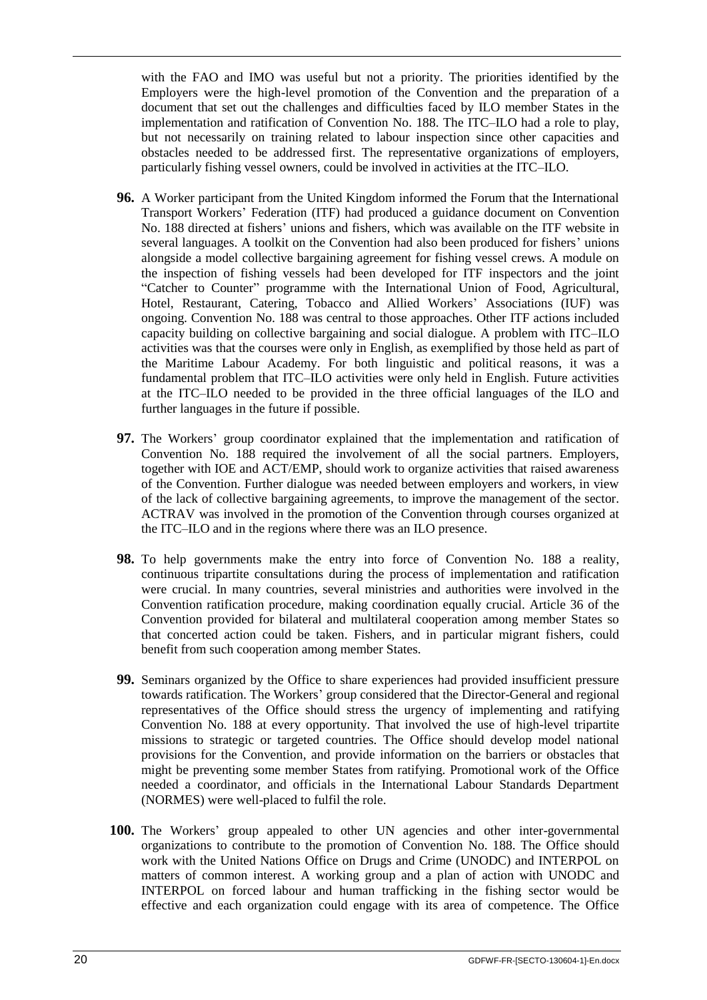with the FAO and IMO was useful but not a priority. The priorities identified by the Employers were the high-level promotion of the Convention and the preparation of a document that set out the challenges and difficulties faced by ILO member States in the implementation and ratification of Convention No. 188. The ITC–ILO had a role to play, but not necessarily on training related to labour inspection since other capacities and obstacles needed to be addressed first. The representative organizations of employers, particularly fishing vessel owners, could be involved in activities at the ITC–ILO.

- **96.** A Worker participant from the United Kingdom informed the Forum that the International Transport Workers' Federation (ITF) had produced a guidance document on Convention No. 188 directed at fishers' unions and fishers, which was available on the ITF website in several languages. A toolkit on the Convention had also been produced for fishers' unions alongside a model collective bargaining agreement for fishing vessel crews. A module on the inspection of fishing vessels had been developed for ITF inspectors and the joint "Catcher to Counter" programme with the International Union of Food, Agricultural, Hotel, Restaurant, Catering, Tobacco and Allied Workers' Associations (IUF) was ongoing. Convention No. 188 was central to those approaches. Other ITF actions included capacity building on collective bargaining and social dialogue. A problem with ITC–ILO activities was that the courses were only in English, as exemplified by those held as part of the Maritime Labour Academy. For both linguistic and political reasons, it was a fundamental problem that ITC–ILO activities were only held in English. Future activities at the ITC–ILO needed to be provided in the three official languages of the ILO and further languages in the future if possible.
- **97.** The Workers' group coordinator explained that the implementation and ratification of Convention No. 188 required the involvement of all the social partners. Employers, together with IOE and ACT/EMP, should work to organize activities that raised awareness of the Convention. Further dialogue was needed between employers and workers, in view of the lack of collective bargaining agreements, to improve the management of the sector. ACTRAV was involved in the promotion of the Convention through courses organized at the ITC–ILO and in the regions where there was an ILO presence.
- **98.** To help governments make the entry into force of Convention No. 188 a reality, continuous tripartite consultations during the process of implementation and ratification were crucial. In many countries, several ministries and authorities were involved in the Convention ratification procedure, making coordination equally crucial. Article 36 of the Convention provided for bilateral and multilateral cooperation among member States so that concerted action could be taken. Fishers, and in particular migrant fishers, could benefit from such cooperation among member States.
- **99.** Seminars organized by the Office to share experiences had provided insufficient pressure towards ratification. The Workers' group considered that the Director-General and regional representatives of the Office should stress the urgency of implementing and ratifying Convention No. 188 at every opportunity. That involved the use of high-level tripartite missions to strategic or targeted countries. The Office should develop model national provisions for the Convention, and provide information on the barriers or obstacles that might be preventing some member States from ratifying. Promotional work of the Office needed a coordinator, and officials in the International Labour Standards Department (NORMES) were well-placed to fulfil the role.
- **100.** The Workers' group appealed to other UN agencies and other inter-governmental organizations to contribute to the promotion of Convention No. 188. The Office should work with the United Nations Office on Drugs and Crime (UNODC) and INTERPOL on matters of common interest. A working group and a plan of action with UNODC and INTERPOL on forced labour and human trafficking in the fishing sector would be effective and each organization could engage with its area of competence. The Office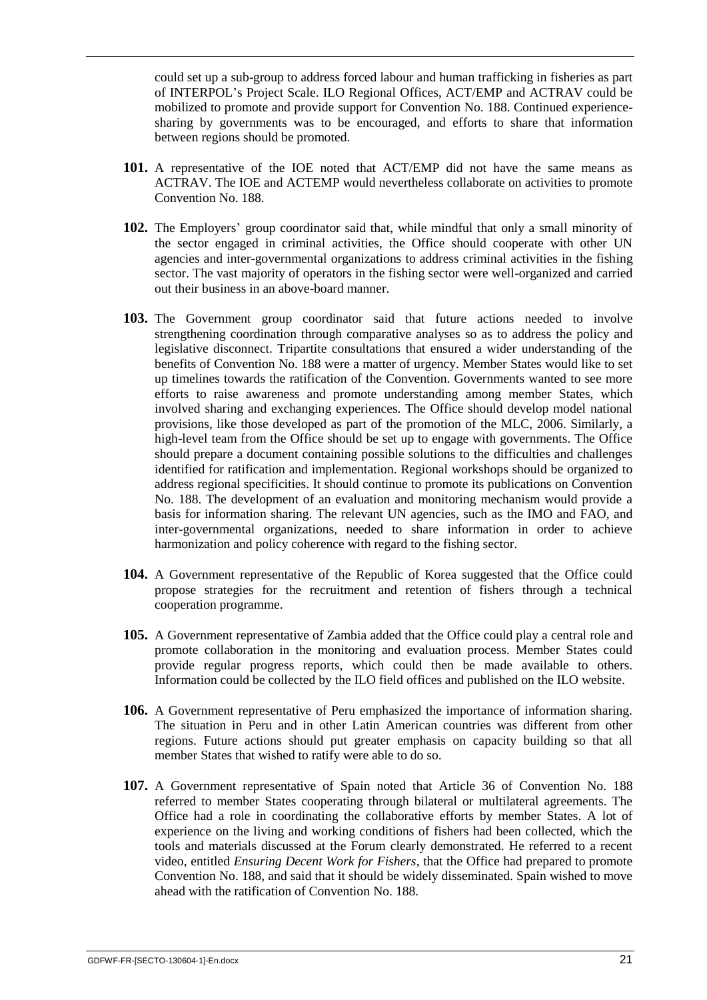could set up a sub-group to address forced labour and human trafficking in fisheries as part of INTERPOL's Project Scale. ILO Regional Offices, ACT/EMP and ACTRAV could be mobilized to promote and provide support for Convention No. 188. Continued experiencesharing by governments was to be encouraged, and efforts to share that information between regions should be promoted.

- **101.** A representative of the IOE noted that ACT/EMP did not have the same means as ACTRAV. The IOE and ACTEMP would nevertheless collaborate on activities to promote Convention No. 188.
- **102.** The Employers' group coordinator said that, while mindful that only a small minority of the sector engaged in criminal activities, the Office should cooperate with other UN agencies and inter-governmental organizations to address criminal activities in the fishing sector. The vast majority of operators in the fishing sector were well-organized and carried out their business in an above-board manner.
- **103.** The Government group coordinator said that future actions needed to involve strengthening coordination through comparative analyses so as to address the policy and legislative disconnect. Tripartite consultations that ensured a wider understanding of the benefits of Convention No. 188 were a matter of urgency. Member States would like to set up timelines towards the ratification of the Convention. Governments wanted to see more efforts to raise awareness and promote understanding among member States, which involved sharing and exchanging experiences. The Office should develop model national provisions, like those developed as part of the promotion of the MLC, 2006. Similarly, a high-level team from the Office should be set up to engage with governments. The Office should prepare a document containing possible solutions to the difficulties and challenges identified for ratification and implementation. Regional workshops should be organized to address regional specificities. It should continue to promote its publications on Convention No. 188. The development of an evaluation and monitoring mechanism would provide a basis for information sharing. The relevant UN agencies, such as the IMO and FAO, and inter-governmental organizations, needed to share information in order to achieve harmonization and policy coherence with regard to the fishing sector.
- **104.** A Government representative of the Republic of Korea suggested that the Office could propose strategies for the recruitment and retention of fishers through a technical cooperation programme.
- **105.** A Government representative of Zambia added that the Office could play a central role and promote collaboration in the monitoring and evaluation process. Member States could provide regular progress reports, which could then be made available to others. Information could be collected by the ILO field offices and published on the ILO website.
- **106.** A Government representative of Peru emphasized the importance of information sharing. The situation in Peru and in other Latin American countries was different from other regions. Future actions should put greater emphasis on capacity building so that all member States that wished to ratify were able to do so.
- **107.** A Government representative of Spain noted that Article 36 of Convention No. 188 referred to member States cooperating through bilateral or multilateral agreements. The Office had a role in coordinating the collaborative efforts by member States. A lot of experience on the living and working conditions of fishers had been collected, which the tools and materials discussed at the Forum clearly demonstrated. He referred to a recent video, entitled *Ensuring Decent Work for Fishers*, that the Office had prepared to promote Convention No. 188, and said that it should be widely disseminated. Spain wished to move ahead with the ratification of Convention No. 188.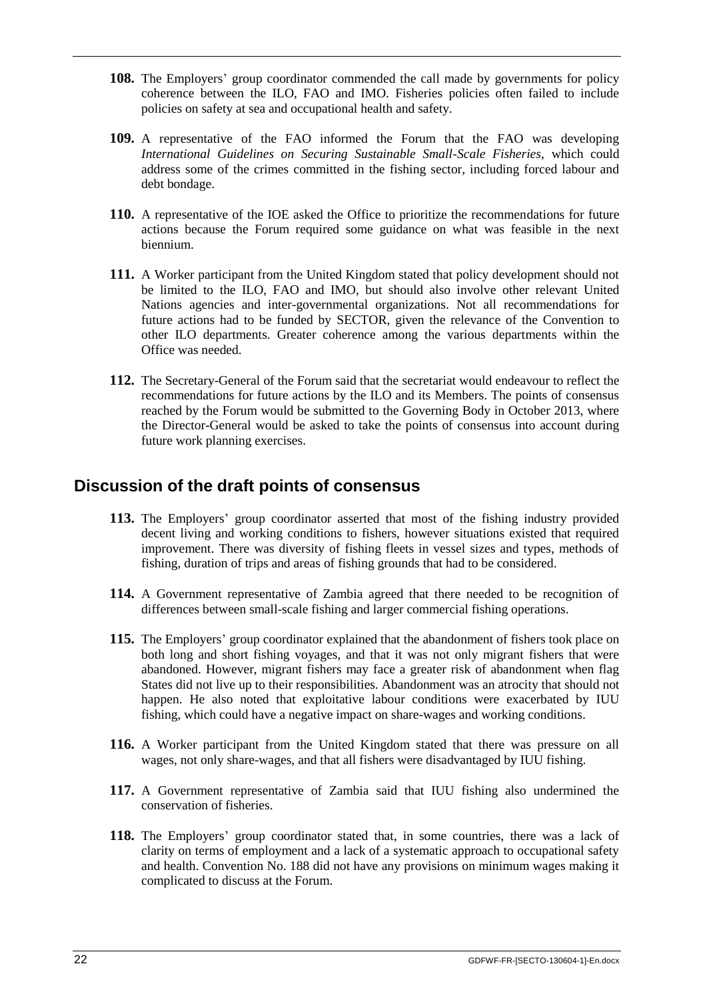- **108.** The Employers' group coordinator commended the call made by governments for policy coherence between the ILO, FAO and IMO. Fisheries policies often failed to include policies on safety at sea and occupational health and safety.
- **109.** A representative of the FAO informed the Forum that the FAO was developing *International Guidelines on Securing Sustainable Small-Scale Fisheries*, which could address some of the crimes committed in the fishing sector, including forced labour and debt bondage.
- **110.** A representative of the IOE asked the Office to prioritize the recommendations for future actions because the Forum required some guidance on what was feasible in the next biennium.
- **111.** A Worker participant from the United Kingdom stated that policy development should not be limited to the ILO, FAO and IMO, but should also involve other relevant United Nations agencies and inter-governmental organizations. Not all recommendations for future actions had to be funded by SECTOR, given the relevance of the Convention to other ILO departments. Greater coherence among the various departments within the Office was needed.
- **112.** The Secretary-General of the Forum said that the secretariat would endeavour to reflect the recommendations for future actions by the ILO and its Members. The points of consensus reached by the Forum would be submitted to the Governing Body in October 2013, where the Director-General would be asked to take the points of consensus into account during future work planning exercises.

## <span id="page-25-0"></span>**Discussion of the draft points of consensus**

- **113.** The Employers' group coordinator asserted that most of the fishing industry provided decent living and working conditions to fishers, however situations existed that required improvement. There was diversity of fishing fleets in vessel sizes and types, methods of fishing, duration of trips and areas of fishing grounds that had to be considered.
- **114.** A Government representative of Zambia agreed that there needed to be recognition of differences between small-scale fishing and larger commercial fishing operations.
- **115.** The Employers' group coordinator explained that the abandonment of fishers took place on both long and short fishing voyages, and that it was not only migrant fishers that were abandoned. However, migrant fishers may face a greater risk of abandonment when flag States did not live up to their responsibilities. Abandonment was an atrocity that should not happen. He also noted that exploitative labour conditions were exacerbated by IUU fishing, which could have a negative impact on share-wages and working conditions.
- **116.** A Worker participant from the United Kingdom stated that there was pressure on all wages, not only share-wages, and that all fishers were disadvantaged by IUU fishing.
- **117.** A Government representative of Zambia said that IUU fishing also undermined the conservation of fisheries.
- **118.** The Employers' group coordinator stated that, in some countries, there was a lack of clarity on terms of employment and a lack of a systematic approach to occupational safety and health. Convention No. 188 did not have any provisions on minimum wages making it complicated to discuss at the Forum.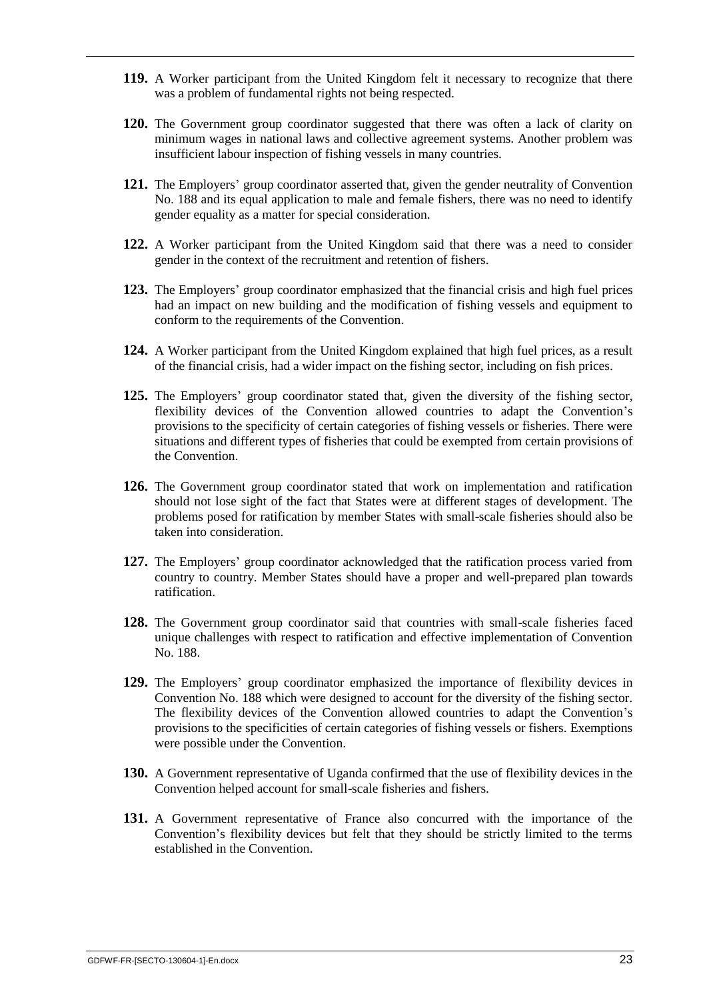- **119.** A Worker participant from the United Kingdom felt it necessary to recognize that there was a problem of fundamental rights not being respected.
- **120.** The Government group coordinator suggested that there was often a lack of clarity on minimum wages in national laws and collective agreement systems. Another problem was insufficient labour inspection of fishing vessels in many countries.
- **121.** The Employers' group coordinator asserted that, given the gender neutrality of Convention No. 188 and its equal application to male and female fishers, there was no need to identify gender equality as a matter for special consideration.
- **122.** A Worker participant from the United Kingdom said that there was a need to consider gender in the context of the recruitment and retention of fishers.
- **123.** The Employers' group coordinator emphasized that the financial crisis and high fuel prices had an impact on new building and the modification of fishing vessels and equipment to conform to the requirements of the Convention.
- **124.** A Worker participant from the United Kingdom explained that high fuel prices, as a result of the financial crisis, had a wider impact on the fishing sector, including on fish prices.
- **125.** The Employers' group coordinator stated that, given the diversity of the fishing sector, flexibility devices of the Convention allowed countries to adapt the Convention's provisions to the specificity of certain categories of fishing vessels or fisheries. There were situations and different types of fisheries that could be exempted from certain provisions of the Convention.
- **126.** The Government group coordinator stated that work on implementation and ratification should not lose sight of the fact that States were at different stages of development. The problems posed for ratification by member States with small-scale fisheries should also be taken into consideration.
- **127.** The Employers' group coordinator acknowledged that the ratification process varied from country to country. Member States should have a proper and well-prepared plan towards ratification.
- **128.** The Government group coordinator said that countries with small-scale fisheries faced unique challenges with respect to ratification and effective implementation of Convention No. 188.
- **129.** The Employers' group coordinator emphasized the importance of flexibility devices in Convention No. 188 which were designed to account for the diversity of the fishing sector. The flexibility devices of the Convention allowed countries to adapt the Convention's provisions to the specificities of certain categories of fishing vessels or fishers. Exemptions were possible under the Convention.
- **130.** A Government representative of Uganda confirmed that the use of flexibility devices in the Convention helped account for small-scale fisheries and fishers.
- **131.** A Government representative of France also concurred with the importance of the Convention's flexibility devices but felt that they should be strictly limited to the terms established in the Convention.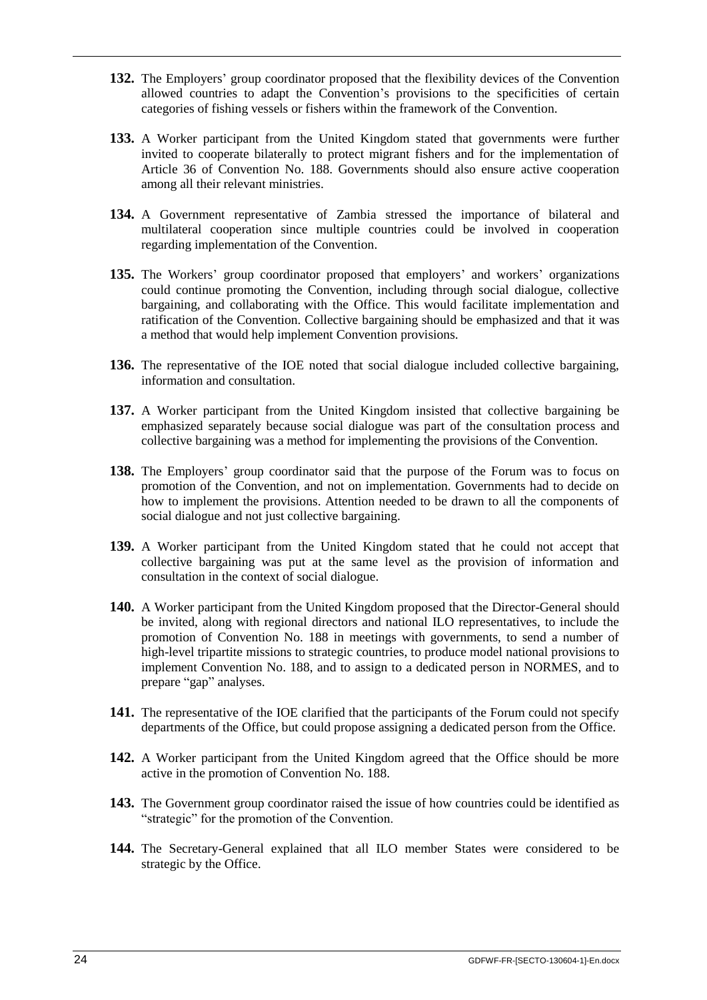- **132.** The Employers' group coordinator proposed that the flexibility devices of the Convention allowed countries to adapt the Convention's provisions to the specificities of certain categories of fishing vessels or fishers within the framework of the Convention.
- **133.** A Worker participant from the United Kingdom stated that governments were further invited to cooperate bilaterally to protect migrant fishers and for the implementation of Article 36 of Convention No. 188. Governments should also ensure active cooperation among all their relevant ministries.
- **134.** A Government representative of Zambia stressed the importance of bilateral and multilateral cooperation since multiple countries could be involved in cooperation regarding implementation of the Convention.
- **135.** The Workers' group coordinator proposed that employers' and workers' organizations could continue promoting the Convention, including through social dialogue, collective bargaining, and collaborating with the Office. This would facilitate implementation and ratification of the Convention. Collective bargaining should be emphasized and that it was a method that would help implement Convention provisions.
- **136.** The representative of the IOE noted that social dialogue included collective bargaining, information and consultation.
- **137.** A Worker participant from the United Kingdom insisted that collective bargaining be emphasized separately because social dialogue was part of the consultation process and collective bargaining was a method for implementing the provisions of the Convention.
- **138.** The Employers' group coordinator said that the purpose of the Forum was to focus on promotion of the Convention, and not on implementation. Governments had to decide on how to implement the provisions. Attention needed to be drawn to all the components of social dialogue and not just collective bargaining.
- **139.** A Worker participant from the United Kingdom stated that he could not accept that collective bargaining was put at the same level as the provision of information and consultation in the context of social dialogue.
- **140.** A Worker participant from the United Kingdom proposed that the Director-General should be invited, along with regional directors and national ILO representatives, to include the promotion of Convention No. 188 in meetings with governments, to send a number of high-level tripartite missions to strategic countries, to produce model national provisions to implement Convention No. 188, and to assign to a dedicated person in NORMES, and to prepare "gap" analyses.
- **141.** The representative of the IOE clarified that the participants of the Forum could not specify departments of the Office, but could propose assigning a dedicated person from the Office.
- **142.** A Worker participant from the United Kingdom agreed that the Office should be more active in the promotion of Convention No. 188.
- **143.** The Government group coordinator raised the issue of how countries could be identified as "strategic" for the promotion of the Convention.
- **144.** The Secretary-General explained that all ILO member States were considered to be strategic by the Office.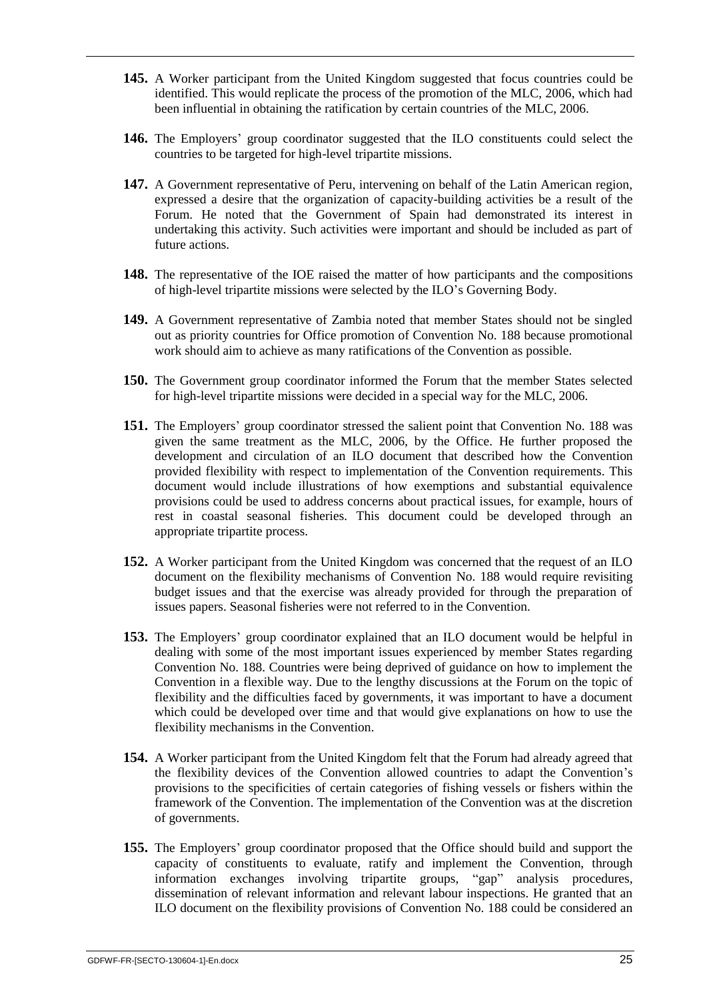- **145.** A Worker participant from the United Kingdom suggested that focus countries could be identified. This would replicate the process of the promotion of the MLC, 2006, which had been influential in obtaining the ratification by certain countries of the MLC, 2006.
- **146.** The Employers' group coordinator suggested that the ILO constituents could select the countries to be targeted for high-level tripartite missions.
- **147.** A Government representative of Peru, intervening on behalf of the Latin American region, expressed a desire that the organization of capacity-building activities be a result of the Forum. He noted that the Government of Spain had demonstrated its interest in undertaking this activity. Such activities were important and should be included as part of future actions.
- **148.** The representative of the IOE raised the matter of how participants and the compositions of high-level tripartite missions were selected by the ILO's Governing Body.
- **149.** A Government representative of Zambia noted that member States should not be singled out as priority countries for Office promotion of Convention No. 188 because promotional work should aim to achieve as many ratifications of the Convention as possible.
- **150.** The Government group coordinator informed the Forum that the member States selected for high-level tripartite missions were decided in a special way for the MLC, 2006.
- **151.** The Employers' group coordinator stressed the salient point that Convention No. 188 was given the same treatment as the MLC, 2006, by the Office. He further proposed the development and circulation of an ILO document that described how the Convention provided flexibility with respect to implementation of the Convention requirements. This document would include illustrations of how exemptions and substantial equivalence provisions could be used to address concerns about practical issues, for example, hours of rest in coastal seasonal fisheries. This document could be developed through an appropriate tripartite process.
- **152.** A Worker participant from the United Kingdom was concerned that the request of an ILO document on the flexibility mechanisms of Convention No. 188 would require revisiting budget issues and that the exercise was already provided for through the preparation of issues papers. Seasonal fisheries were not referred to in the Convention.
- **153.** The Employers' group coordinator explained that an ILO document would be helpful in dealing with some of the most important issues experienced by member States regarding Convention No. 188. Countries were being deprived of guidance on how to implement the Convention in a flexible way. Due to the lengthy discussions at the Forum on the topic of flexibility and the difficulties faced by governments, it was important to have a document which could be developed over time and that would give explanations on how to use the flexibility mechanisms in the Convention.
- **154.** A Worker participant from the United Kingdom felt that the Forum had already agreed that the flexibility devices of the Convention allowed countries to adapt the Convention's provisions to the specificities of certain categories of fishing vessels or fishers within the framework of the Convention. The implementation of the Convention was at the discretion of governments.
- **155.** The Employers' group coordinator proposed that the Office should build and support the capacity of constituents to evaluate, ratify and implement the Convention, through information exchanges involving tripartite groups, "gap" analysis procedures, dissemination of relevant information and relevant labour inspections. He granted that an ILO document on the flexibility provisions of Convention No. 188 could be considered an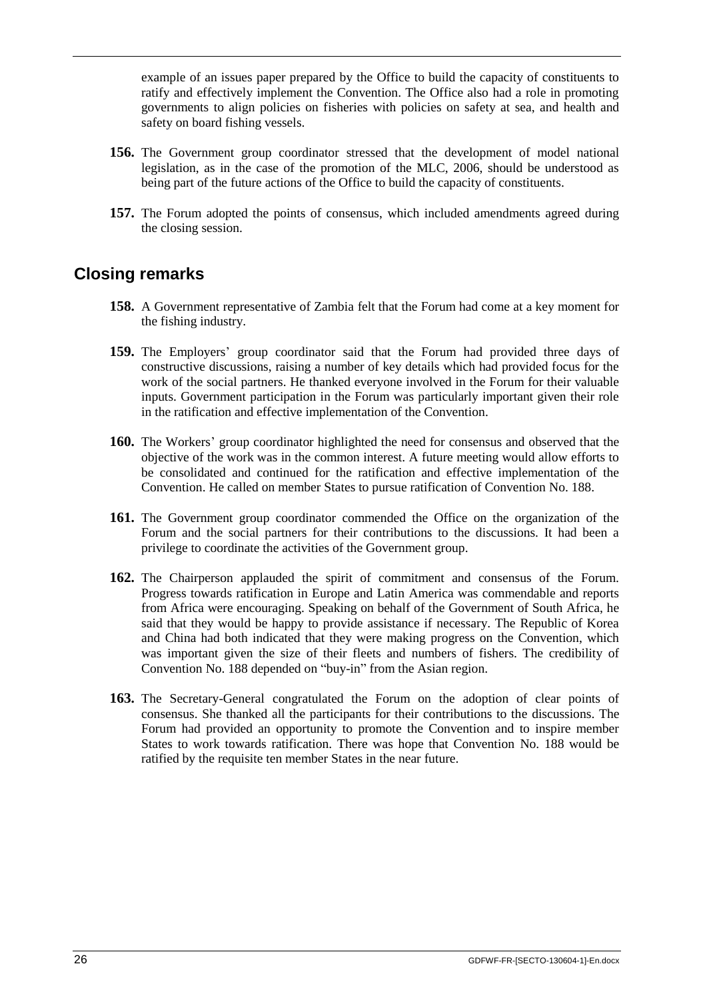example of an issues paper prepared by the Office to build the capacity of constituents to ratify and effectively implement the Convention. The Office also had a role in promoting governments to align policies on fisheries with policies on safety at sea, and health and safety on board fishing vessels.

- **156.** The Government group coordinator stressed that the development of model national legislation, as in the case of the promotion of the MLC, 2006, should be understood as being part of the future actions of the Office to build the capacity of constituents.
- **157.** The Forum adopted the points of consensus, which included amendments agreed during the closing session.

## <span id="page-29-0"></span>**Closing remarks**

- **158.** A Government representative of Zambia felt that the Forum had come at a key moment for the fishing industry.
- **159.** The Employers' group coordinator said that the Forum had provided three days of constructive discussions, raising a number of key details which had provided focus for the work of the social partners. He thanked everyone involved in the Forum for their valuable inputs. Government participation in the Forum was particularly important given their role in the ratification and effective implementation of the Convention.
- **160.** The Workers' group coordinator highlighted the need for consensus and observed that the objective of the work was in the common interest. A future meeting would allow efforts to be consolidated and continued for the ratification and effective implementation of the Convention. He called on member States to pursue ratification of Convention No. 188.
- **161.** The Government group coordinator commended the Office on the organization of the Forum and the social partners for their contributions to the discussions. It had been a privilege to coordinate the activities of the Government group.
- **162.** The Chairperson applauded the spirit of commitment and consensus of the Forum. Progress towards ratification in Europe and Latin America was commendable and reports from Africa were encouraging. Speaking on behalf of the Government of South Africa, he said that they would be happy to provide assistance if necessary. The Republic of Korea and China had both indicated that they were making progress on the Convention, which was important given the size of their fleets and numbers of fishers. The credibility of Convention No. 188 depended on "buy-in" from the Asian region.
- **163.** The Secretary-General congratulated the Forum on the adoption of clear points of consensus. She thanked all the participants for their contributions to the discussions. The Forum had provided an opportunity to promote the Convention and to inspire member States to work towards ratification. There was hope that Convention No. 188 would be ratified by the requisite ten member States in the near future.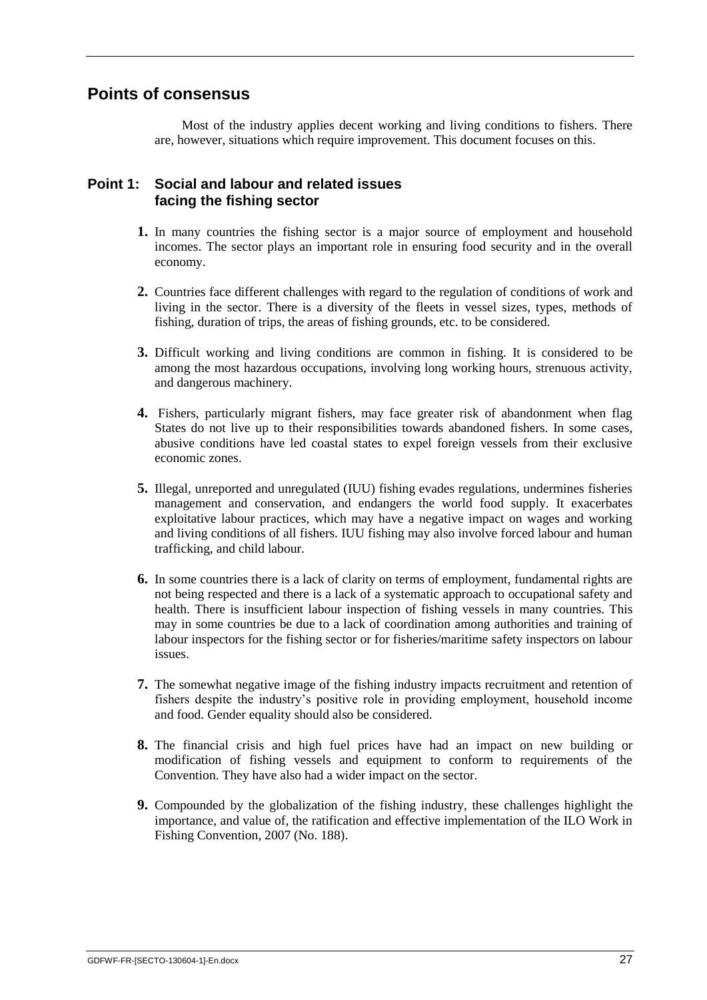## <span id="page-30-0"></span>**Points of consensus**

Most of the industry applies decent working and living conditions to fishers. There are, however, situations which require improvement. This document focuses on this.

#### **Point 1: Social and labour and related issues facing the fishing sector**

- **1.** In many countries the fishing sector is a major source of employment and household incomes. The sector plays an important role in ensuring food security and in the overall economy.
- **2.** Countries face different challenges with regard to the regulation of conditions of work and living in the sector. There is a diversity of the fleets in vessel sizes, types, methods of fishing, duration of trips, the areas of fishing grounds, etc. to be considered.
- **3.** Difficult working and living conditions are common in fishing. It is considered to be among the most hazardous occupations, involving long working hours, strenuous activity, and dangerous machinery.
- **4.** Fishers, particularly migrant fishers, may face greater risk of abandonment when flag States do not live up to their responsibilities towards abandoned fishers. In some cases, abusive conditions have led coastal states to expel foreign vessels from their exclusive economic zones.
- **5.** Illegal, unreported and unregulated (IUU) fishing evades regulations, undermines fisheries management and conservation, and endangers the world food supply. It exacerbates exploitative labour practices, which may have a negative impact on wages and working and living conditions of all fishers. IUU fishing may also involve forced labour and human trafficking, and child labour.
- **6.** In some countries there is a lack of clarity on terms of employment, fundamental rights are not being respected and there is a lack of a systematic approach to occupational safety and health. There is insufficient labour inspection of fishing vessels in many countries. This may in some countries be due to a lack of coordination among authorities and training of labour inspectors for the fishing sector or for fisheries/maritime safety inspectors on labour issues.
- **7.** The somewhat negative image of the fishing industry impacts recruitment and retention of fishers despite the industry's positive role in providing employment, household income and food. Gender equality should also be considered.
- **8.** The financial crisis and high fuel prices have had an impact on new building or modification of fishing vessels and equipment to conform to requirements of the Convention. They have also had a wider impact on the sector.
- **9.** Compounded by the globalization of the fishing industry, these challenges highlight the importance, and value of, the ratification and effective implementation of the ILO Work in Fishing Convention, 2007 (No. 188).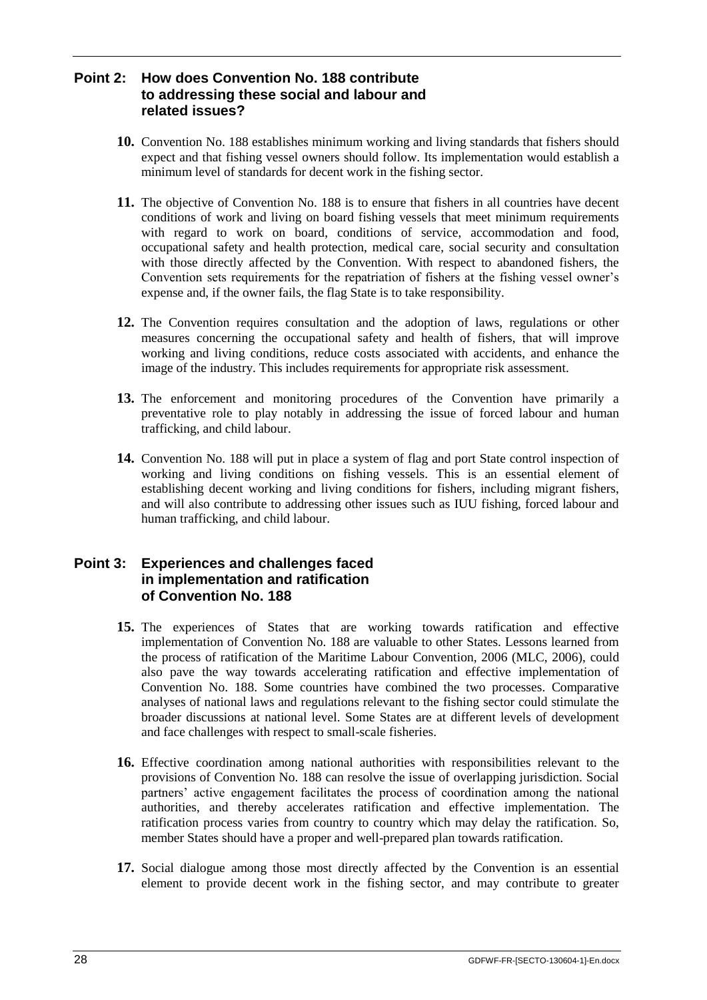#### **Point 2: How does Convention No. 188 contribute to addressing these social and labour and related issues?**

- **10.** Convention No. 188 establishes minimum working and living standards that fishers should expect and that fishing vessel owners should follow. Its implementation would establish a minimum level of standards for decent work in the fishing sector.
- **11.** The objective of Convention No. 188 is to ensure that fishers in all countries have decent conditions of work and living on board fishing vessels that meet minimum requirements with regard to work on board, conditions of service, accommodation and food, occupational safety and health protection, medical care, social security and consultation with those directly affected by the Convention. With respect to abandoned fishers, the Convention sets requirements for the repatriation of fishers at the fishing vessel owner's expense and, if the owner fails, the flag State is to take responsibility.
- **12.** The Convention requires consultation and the adoption of laws, regulations or other measures concerning the occupational safety and health of fishers, that will improve working and living conditions, reduce costs associated with accidents, and enhance the image of the industry. This includes requirements for appropriate risk assessment.
- **13.** The enforcement and monitoring procedures of the Convention have primarily a preventative role to play notably in addressing the issue of forced labour and human trafficking, and child labour.
- **14.** Convention No. 188 will put in place a system of flag and port State control inspection of working and living conditions on fishing vessels. This is an essential element of establishing decent working and living conditions for fishers, including migrant fishers, and will also contribute to addressing other issues such as IUU fishing, forced labour and human trafficking, and child labour.

#### **Point 3: Experiences and challenges faced in implementation and ratification of Convention No. 188**

- **15.** The experiences of States that are working towards ratification and effective implementation of Convention No. 188 are valuable to other States. Lessons learned from the process of ratification of the Maritime Labour Convention, 2006 (MLC, 2006), could also pave the way towards accelerating ratification and effective implementation of Convention No. 188. Some countries have combined the two processes. Comparative analyses of national laws and regulations relevant to the fishing sector could stimulate the broader discussions at national level. Some States are at different levels of development and face challenges with respect to small-scale fisheries.
- **16.** Effective coordination among national authorities with responsibilities relevant to the provisions of Convention No. 188 can resolve the issue of overlapping jurisdiction. Social partners' active engagement facilitates the process of coordination among the national authorities, and thereby accelerates ratification and effective implementation. The ratification process varies from country to country which may delay the ratification. So, member States should have a proper and well-prepared plan towards ratification.
- **17.** Social dialogue among those most directly affected by the Convention is an essential element to provide decent work in the fishing sector, and may contribute to greater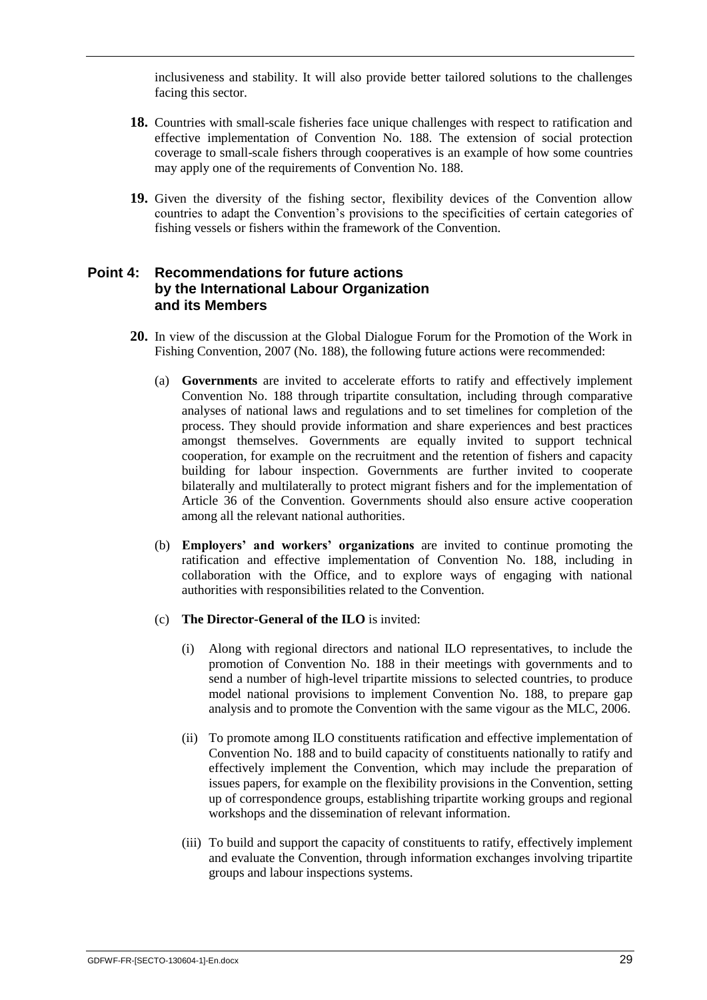inclusiveness and stability. It will also provide better tailored solutions to the challenges facing this sector.

- **18.** Countries with small-scale fisheries face unique challenges with respect to ratification and effective implementation of Convention No. 188. The extension of social protection coverage to small-scale fishers through cooperatives is an example of how some countries may apply one of the requirements of Convention No. 188.
- **19.** Given the diversity of the fishing sector, flexibility devices of the Convention allow countries to adapt the Convention's provisions to the specificities of certain categories of fishing vessels or fishers within the framework of the Convention.

#### **Point 4: Recommendations for future actions by the International Labour Organization and its Members**

- **20.** In view of the discussion at the Global Dialogue Forum for the Promotion of the Work in Fishing Convention, 2007 (No. 188), the following future actions were recommended:
	- (a) **Governments** are invited to accelerate efforts to ratify and effectively implement Convention No. 188 through tripartite consultation, including through comparative analyses of national laws and regulations and to set timelines for completion of the process. They should provide information and share experiences and best practices amongst themselves. Governments are equally invited to support technical cooperation, for example on the recruitment and the retention of fishers and capacity building for labour inspection. Governments are further invited to cooperate bilaterally and multilaterally to protect migrant fishers and for the implementation of Article 36 of the Convention. Governments should also ensure active cooperation among all the relevant national authorities.
	- (b) **Employers' and workers' organizations** are invited to continue promoting the ratification and effective implementation of Convention No. 188, including in collaboration with the Office, and to explore ways of engaging with national authorities with responsibilities related to the Convention.
	- (c) **The Director-General of the ILO** is invited:
		- (i) Along with regional directors and national ILO representatives, to include the promotion of Convention No. 188 in their meetings with governments and to send a number of high-level tripartite missions to selected countries, to produce model national provisions to implement Convention No. 188, to prepare gap analysis and to promote the Convention with the same vigour as the MLC, 2006.
		- (ii) To promote among ILO constituents ratification and effective implementation of Convention No. 188 and to build capacity of constituents nationally to ratify and effectively implement the Convention, which may include the preparation of issues papers, for example on the flexibility provisions in the Convention, setting up of correspondence groups, establishing tripartite working groups and regional workshops and the dissemination of relevant information.
		- (iii) To build and support the capacity of constituents to ratify, effectively implement and evaluate the Convention, through information exchanges involving tripartite groups and labour inspections systems.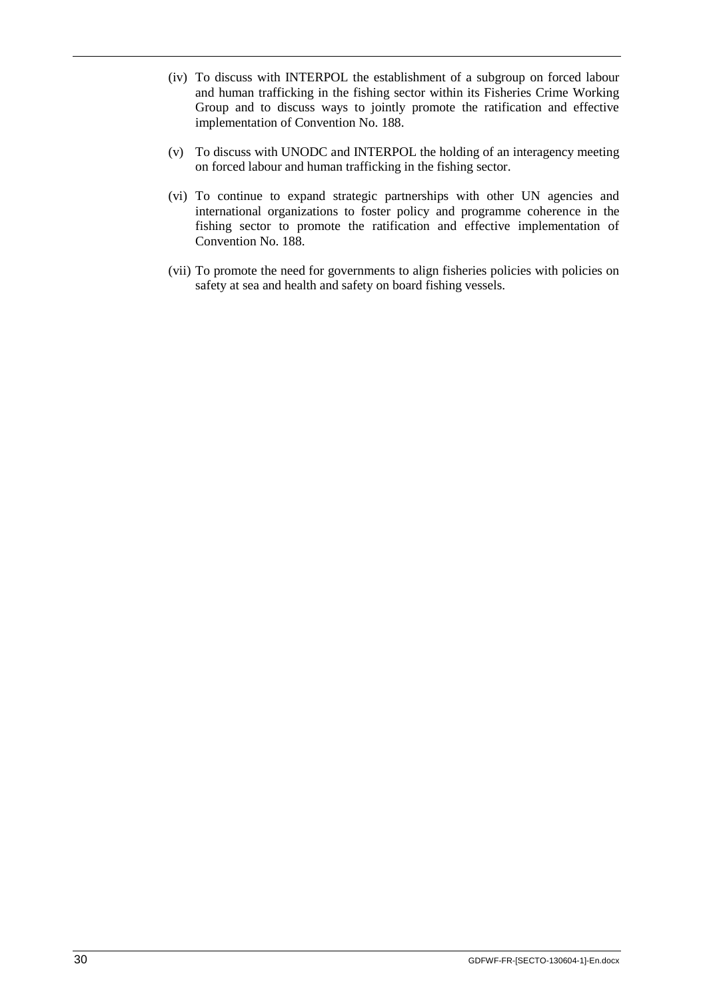- (iv) To discuss with INTERPOL the establishment of a subgroup on forced labour and human trafficking in the fishing sector within its Fisheries Crime Working Group and to discuss ways to jointly promote the ratification and effective implementation of Convention No. 188.
- (v) To discuss with UNODC and INTERPOL the holding of an interagency meeting on forced labour and human trafficking in the fishing sector.
- (vi) To continue to expand strategic partnerships with other UN agencies and international organizations to foster policy and programme coherence in the fishing sector to promote the ratification and effective implementation of Convention No. 188.
- (vii) To promote the need for governments to align fisheries policies with policies on safety at sea and health and safety on board fishing vessels.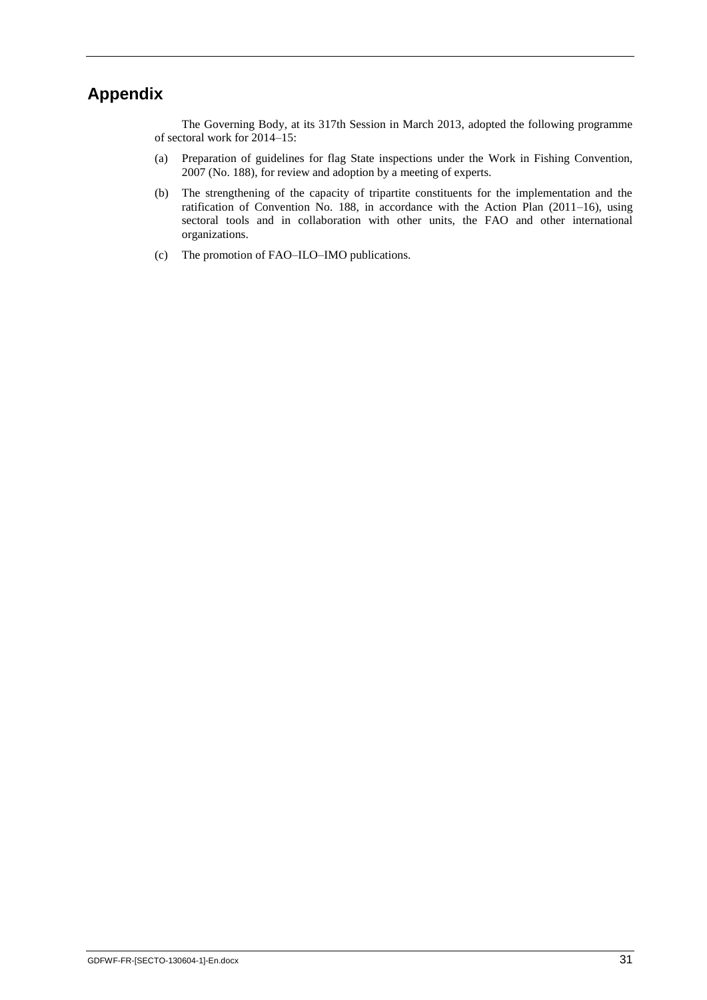## **Appendix**

The Governing Body, at its 317th Session in March 2013, adopted the following programme of sectoral work for 2014–15:

- (a) Preparation of guidelines for flag State inspections under the Work in Fishing Convention, 2007 (No. 188), for review and adoption by a meeting of experts.
- (b) The strengthening of the capacity of tripartite constituents for the implementation and the ratification of Convention No. 188, in accordance with the Action Plan (2011–16), using sectoral tools and in collaboration with other units, the FAO and other international organizations.
- (c) The promotion of FAO–ILO–IMO publications.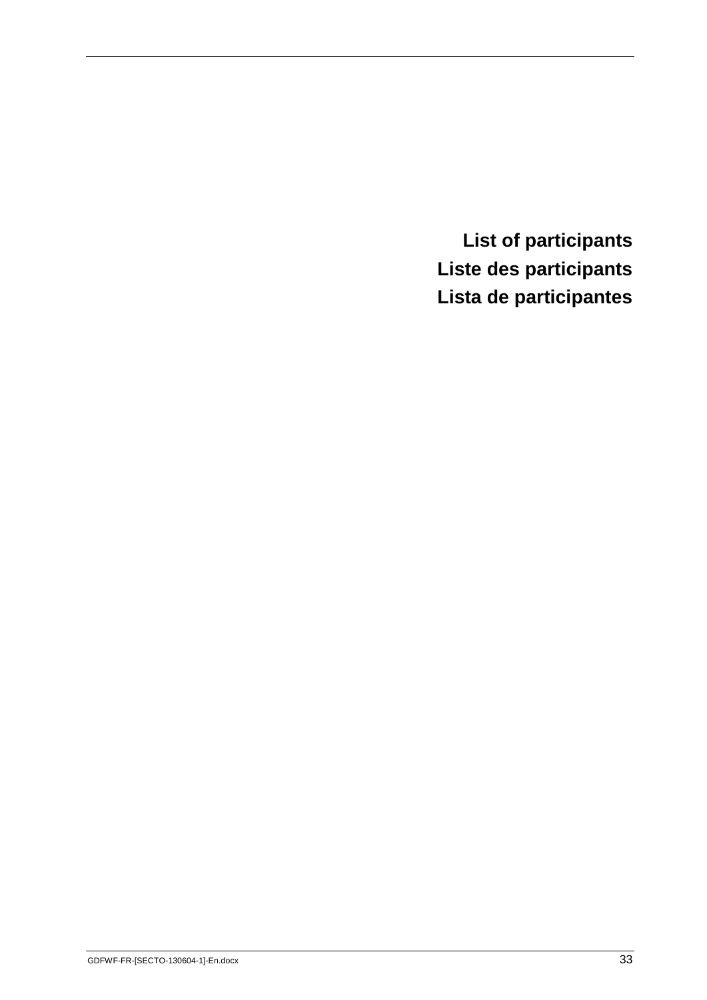<span id="page-35-0"></span>**List of participants Liste des participants Lista de participantes**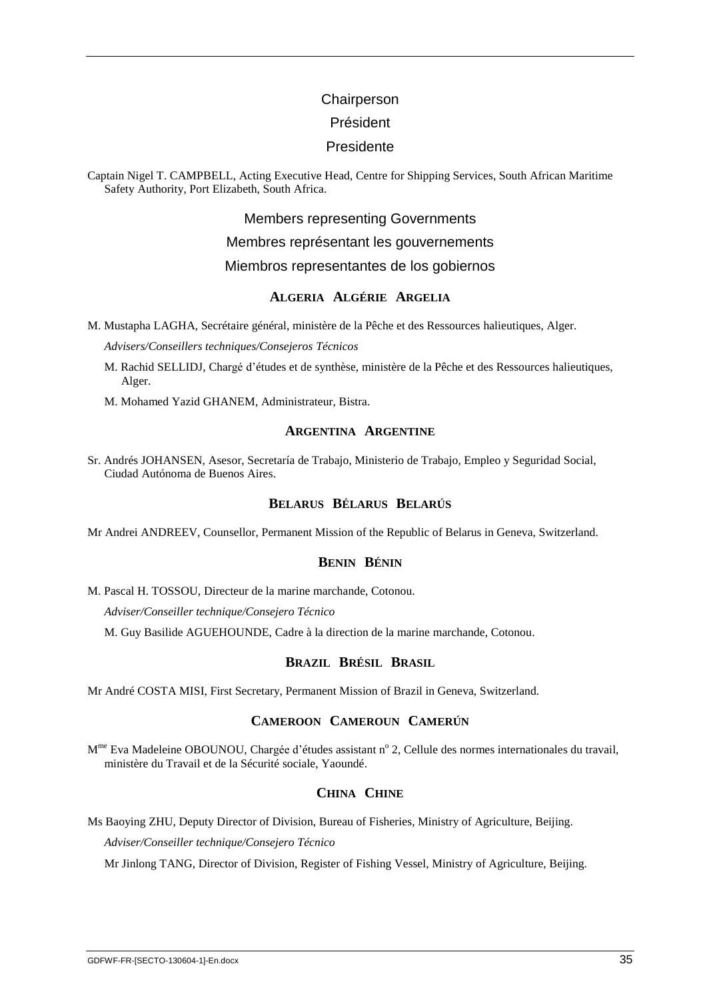#### **Chairperson**

#### Président

#### Presidente

Captain Nigel T. CAMPBELL, Acting Executive Head, Centre for Shipping Services, South African Maritime Safety Authority, Port Elizabeth, South Africa.

Members representing Governments

Membres représentant les gouvernements

Miembros representantes de los gobiernos

#### **ALGERIA ALGÉRIE ARGELIA**

M. Mustapha LAGHA, Secrétaire général, ministère de la Pêche et des Ressources halieutiques, Alger.

*Advisers/Conseillers techniques/Consejeros Técnicos*

- M. Rachid SELLIDJ, Chargé d'études et de synthèse, ministère de la Pêche et des Ressources halieutiques, Alger.
- M. Mohamed Yazid GHANEM, Administrateur, Bistra.

#### **ARGENTINA ARGENTINE**

Sr. Andrés JOHANSEN, Asesor, Secretaría de Trabajo, Ministerio de Trabajo, Empleo y Seguridad Social, Ciudad Autónoma de Buenos Aires.

#### **BELARUS BÉLARUS BELARÚS**

Mr Andrei ANDREEV, Counsellor, Permanent Mission of the Republic of Belarus in Geneva, Switzerland.

#### **BENIN BÉNIN**

M. Pascal H. TOSSOU, Directeur de la marine marchande, Cotonou.

*Adviser/Conseiller technique/Consejero Técnico*

M. Guy Basilide AGUEHOUNDE, Cadre à la direction de la marine marchande, Cotonou.

#### **BRAZIL BRÉSIL BRASIL**

Mr André COSTA MISI, First Secretary, Permanent Mission of Brazil in Geneva, Switzerland.

#### **CAMEROON CAMEROUN CAMERÚN**

M<sup>me</sup> Eva Madeleine OBOUNOU, Chargée d'études assistant n° 2, Cellule des normes internationales du travail, ministère du Travail et de la Sécurité sociale, Yaoundé.

#### **CHINA CHINE**

Ms Baoying ZHU, Deputy Director of Division, Bureau of Fisheries, Ministry of Agriculture, Beijing.

*Adviser/Conseiller technique/Consejero Técnico*

Mr Jinlong TANG, Director of Division, Register of Fishing Vessel, Ministry of Agriculture, Beijing.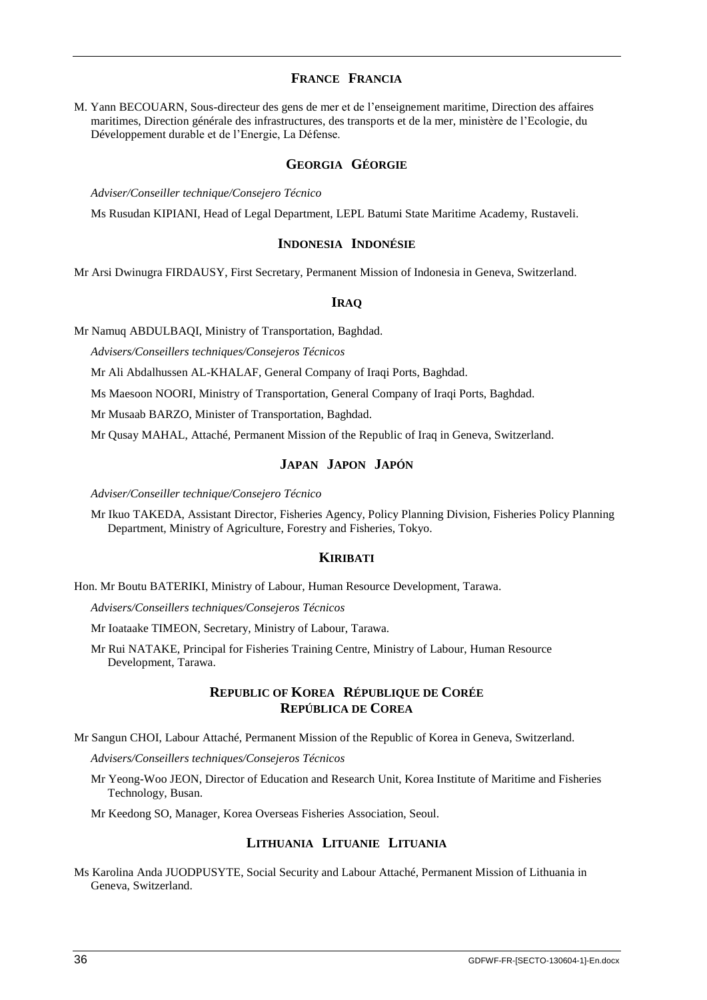#### **FRANCE FRANCIA**

M. Yann BECOUARN, Sous-directeur des gens de mer et de l'enseignement maritime, Direction des affaires maritimes, Direction générale des infrastructures, des transports et de la mer, ministère de l'Ecologie, du Développement durable et de l'Energie, La Défense.

#### **GEORGIA GÉORGIE**

*Adviser/Conseiller technique/Consejero Técnico*

Ms Rusudan KIPIANI, Head of Legal Department, LEPL Batumi State Maritime Academy, Rustaveli.

#### **INDONESIA INDONÉSIE**

Mr Arsi Dwinugra FIRDAUSY, First Secretary, Permanent Mission of Indonesia in Geneva, Switzerland.

#### **IRAQ**

Mr Namuq ABDULBAQI, Ministry of Transportation, Baghdad.

*Advisers/Conseillers techniques/Consejeros Técnicos*

Mr Ali Abdalhussen AL-KHALAF, General Company of Iraqi Ports, Baghdad.

Ms Maesoon NOORI, Ministry of Transportation, General Company of Iraqi Ports, Baghdad.

Mr Musaab BARZO, Minister of Transportation, Baghdad.

Mr Qusay MAHAL, Attaché, Permanent Mission of the Republic of Iraq in Geneva, Switzerland.

#### **JAPAN JAPON JAPÓN**

*Adviser/Conseiller technique/Consejero Técnico*

Mr Ikuo TAKEDA, Assistant Director, Fisheries Agency, Policy Planning Division, Fisheries Policy Planning Department, Ministry of Agriculture, Forestry and Fisheries, Tokyo.

#### **KIRIBATI**

Hon. Mr Boutu BATERIKI, Ministry of Labour, Human Resource Development, Tarawa.

*Advisers/Conseillers techniques/Consejeros Técnicos*

Mr Ioataake TIMEON, Secretary, Ministry of Labour, Tarawa.

Mr Rui NATAKE, Principal for Fisheries Training Centre, Ministry of Labour, Human Resource Development, Tarawa.

#### **REPUBLIC OF KOREA RÉPUBLIQUE DE CORÉE REPÚBLICA DE COREA**

Mr Sangun CHOI, Labour Attaché, Permanent Mission of the Republic of Korea in Geneva, Switzerland.

*Advisers/Conseillers techniques/Consejeros Técnicos*

Mr Yeong-Woo JEON, Director of Education and Research Unit, Korea Institute of Maritime and Fisheries Technology, Busan.

Mr Keedong SO, Manager, Korea Overseas Fisheries Association, Seoul.

#### **LITHUANIA LITUANIE LITUANIA**

Ms Karolina Anda JUODPUSYTE, Social Security and Labour Attaché, Permanent Mission of Lithuania in Geneva, Switzerland.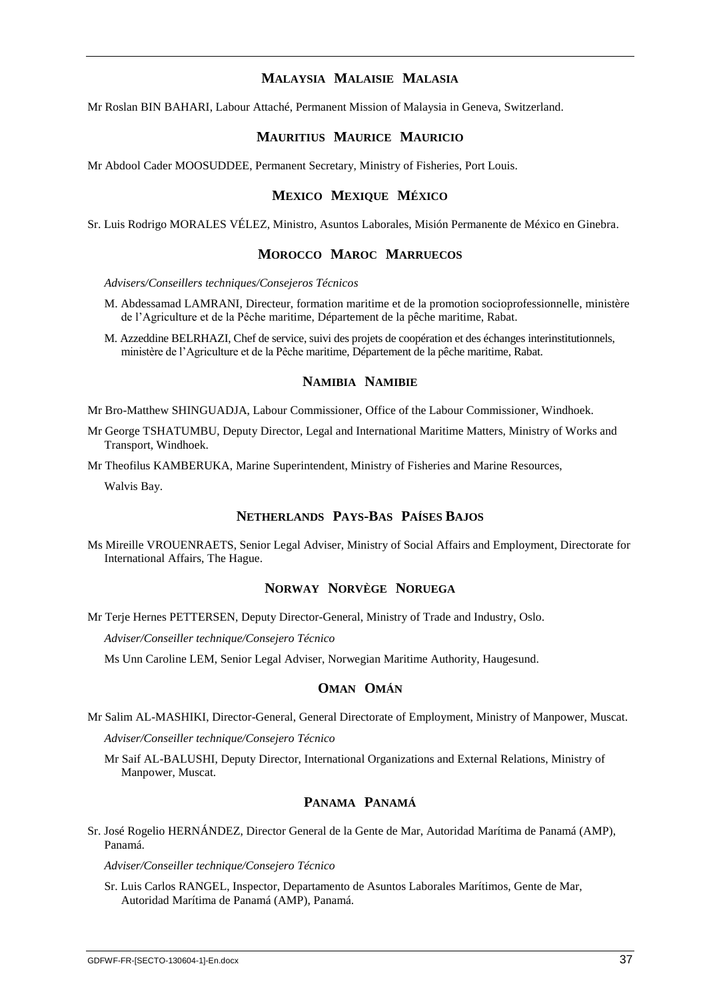#### **MALAYSIA MALAISIE MALASIA**

Mr Roslan BIN BAHARI, Labour Attaché, Permanent Mission of Malaysia in Geneva, Switzerland.

#### **MAURITIUS MAURICE MAURICIO**

Mr Abdool Cader MOOSUDDEE, Permanent Secretary, Ministry of Fisheries, Port Louis.

#### **MEXICO MEXIQUE MÉXICO**

Sr. Luis Rodrigo MORALES VÉLEZ, Ministro, Asuntos Laborales, Misión Permanente de México en Ginebra.

#### **MOROCCO MAROC MARRUECOS**

*Advisers/Conseillers techniques/Consejeros Técnicos*

- M. Abdessamad LAMRANI, Directeur, formation maritime et de la promotion socioprofessionnelle, ministère de l'Agriculture et de la Pêche maritime, Département de la pêche maritime, Rabat.
- M. Azzeddine BELRHAZI, Chef de service, suivi des projets de coopération et des échanges interinstitutionnels, ministère de l'Agriculture et de la Pêche maritime, Département de la pêche maritime, Rabat.

#### **NAMIBIA NAMIBIE**

Mr Bro-Matthew SHINGUADJA, Labour Commissioner, Office of the Labour Commissioner, Windhoek.

Mr George TSHATUMBU, Deputy Director, Legal and International Maritime Matters, Ministry of Works and Transport, Windhoek.

Mr Theofilus KAMBERUKA, Marine Superintendent, Ministry of Fisheries and Marine Resources,

Walvis Bay.

#### **NETHERLANDS PAYS-BAS PAÍSES BAJOS**

Ms Mireille VROUENRAETS, Senior Legal Adviser, Ministry of Social Affairs and Employment, Directorate for International Affairs, The Hague.

#### **NORWAY NORVÈGE NORUEGA**

Mr Terje Hernes PETTERSEN, Deputy Director-General, Ministry of Trade and Industry, Oslo.

*Adviser/Conseiller technique/Consejero Técnico*

Ms Unn Caroline LEM, Senior Legal Adviser, Norwegian Maritime Authority, Haugesund.

#### **OMAN OMÁN**

Mr Salim AL-MASHIKI, Director-General, General Directorate of Employment, Ministry of Manpower, Muscat.

*Adviser/Conseiller technique/Consejero Técnico*

Mr Saif AL-BALUSHI, Deputy Director, International Organizations and External Relations, Ministry of Manpower, Muscat.

#### **PANAMA PANAMÁ**

Sr. José Rogelio HERNÁNDEZ, Director General de la Gente de Mar, Autoridad Marítima de Panamá (AMP), Panamá.

*Adviser/Conseiller technique/Consejero Técnico*

Sr. Luis Carlos RANGEL, Inspector, Departamento de Asuntos Laborales Marítimos, Gente de Mar, Autoridad Marítima de Panamá (AMP), Panamá.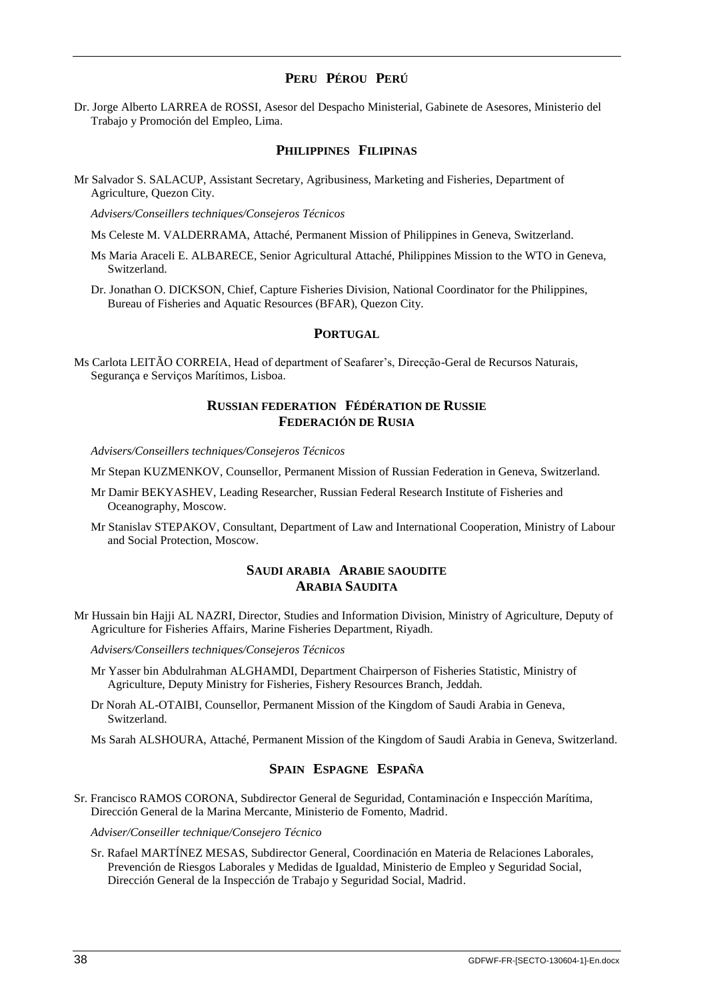#### **PERU PÉROU PERÚ**

Dr. Jorge Alberto LARREA de ROSSI, Asesor del Despacho Ministerial, Gabinete de Asesores, Ministerio del Trabajo y Promoción del Empleo, Lima.

#### **PHILIPPINES FILIPINAS**

Mr Salvador S. SALACUP, Assistant Secretary, Agribusiness, Marketing and Fisheries, Department of Agriculture, Quezon City.

*Advisers/Conseillers techniques/Consejeros Técnicos*

Ms Celeste M. VALDERRAMA, Attaché, Permanent Mission of Philippines in Geneva, Switzerland.

Ms Maria Araceli E. ALBARECE, Senior Agricultural Attaché, Philippines Mission to the WTO in Geneva, Switzerland.

Dr. Jonathan O. DICKSON, Chief, Capture Fisheries Division, National Coordinator for the Philippines, Bureau of Fisheries and Aquatic Resources (BFAR), Quezon City.

#### **PORTUGAL**

Ms Carlota LEITÃO CORREIA, Head of department of Seafarer's, Direcção-Geral de Recursos Naturais, Segurança e Serviços Marítimos, Lisboa.

#### **RUSSIAN FEDERATION FÉDÉRATION DE RUSSIE FEDERACIÓN DE RUSIA**

*Advisers/Conseillers techniques/Consejeros Técnicos*

Mr Stepan KUZMENKOV, Counsellor, Permanent Mission of Russian Federation in Geneva, Switzerland.

- Mr Damir BEKYASHEV, Leading Researcher, Russian Federal Research Institute of Fisheries and Oceanography, Moscow.
- Mr Stanislav STEPAKOV, Consultant, Department of Law and International Cooperation, Ministry of Labour and Social Protection, Moscow.

#### **SAUDI ARABIA ARABIE SAOUDITE ARABIA SAUDITA**

Mr Hussain bin Hajji AL NAZRI, Director, Studies and Information Division, Ministry of Agriculture, Deputy of Agriculture for Fisheries Affairs, Marine Fisheries Department, Riyadh.

*Advisers/Conseillers techniques/Consejeros Técnicos*

- Mr Yasser bin Abdulrahman ALGHAMDI, Department Chairperson of Fisheries Statistic, Ministry of Agriculture, Deputy Ministry for Fisheries, Fishery Resources Branch, Jeddah.
- Dr Norah AL-OTAIBI, Counsellor, Permanent Mission of the Kingdom of Saudi Arabia in Geneva, Switzerland.
- Ms Sarah ALSHOURA, Attaché, Permanent Mission of the Kingdom of Saudi Arabia in Geneva, Switzerland.

#### **SPAIN ESPAGNE ESPAÑA**

Sr. Francisco RAMOS CORONA, Subdirector General de Seguridad, Contaminación e Inspección Marítima, Dirección General de la Marina Mercante, Ministerio de Fomento, Madrid.

*Adviser/Conseiller technique/Consejero Técnico*

Sr. Rafael MARTÍNEZ MESAS, Subdirector General, Coordinación en Materia de Relaciones Laborales, Prevención de Riesgos Laborales y Medidas de Igualdad, Ministerio de Empleo y Seguridad Social, Dirección General de la Inspección de Trabajo y Seguridad Social, Madrid.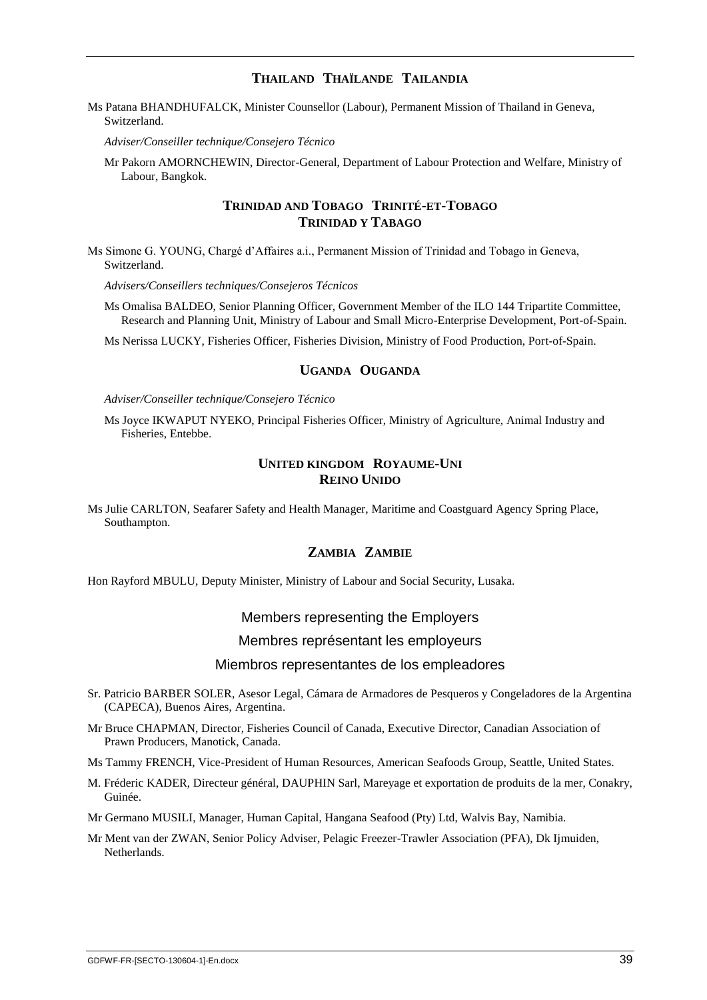#### **THAILAND THAÏLANDE TAILANDIA**

Ms Patana BHANDHUFALCK, Minister Counsellor (Labour), Permanent Mission of Thailand in Geneva, Switzerland.

*Adviser/Conseiller technique/Consejero Técnico*

Mr Pakorn AMORNCHEWIN, Director-General, Department of Labour Protection and Welfare, Ministry of Labour, Bangkok.

#### **TRINIDAD AND TOBAGO TRINITÉ-ET-TOBAGO TRINIDAD Y TABAGO**

Ms Simone G. YOUNG, Chargé d'Affaires a.i., Permanent Mission of Trinidad and Tobago in Geneva, Switzerland.

*Advisers/Conseillers techniques/Consejeros Técnicos*

Ms Omalisa BALDEO, Senior Planning Officer, Government Member of the ILO 144 Tripartite Committee, Research and Planning Unit, Ministry of Labour and Small Micro-Enterprise Development, Port-of-Spain.

Ms Nerissa LUCKY, Fisheries Officer, Fisheries Division, Ministry of Food Production, Port-of-Spain.

#### **UGANDA OUGANDA**

*Adviser/Conseiller technique/Consejero Técnico*

Ms Joyce IKWAPUT NYEKO, Principal Fisheries Officer, Ministry of Agriculture, Animal Industry and Fisheries, Entebbe.

#### **UNITED KINGDOM ROYAUME-UNI REINO UNIDO**

Ms Julie CARLTON, Seafarer Safety and Health Manager, Maritime and Coastguard Agency Spring Place, Southampton.

#### **ZAMBIA ZAMBIE**

Hon Rayford MBULU, Deputy Minister, Ministry of Labour and Social Security, Lusaka.

#### Members representing the Employers

#### Membres représentant les employeurs

#### Miembros representantes de los empleadores

- Sr. Patricio BARBER SOLER, Asesor Legal, Cámara de Armadores de Pesqueros y Congeladores de la Argentina (CAPECA), Buenos Aires, Argentina.
- Mr Bruce CHAPMAN, Director, Fisheries Council of Canada, Executive Director, Canadian Association of Prawn Producers, Manotick, Canada.

Ms Tammy FRENCH, Vice-President of Human Resources, American Seafoods Group, Seattle, United States.

M. Fréderic KADER, Directeur général, DAUPHIN Sarl, Mareyage et exportation de produits de la mer, Conakry, Guinée.

Mr Germano MUSILI, Manager, Human Capital, Hangana Seafood (Pty) Ltd, Walvis Bay, Namibia.

Mr Ment van der ZWAN, Senior Policy Adviser, Pelagic Freezer-Trawler Association (PFA), Dk Ijmuiden, Netherlands.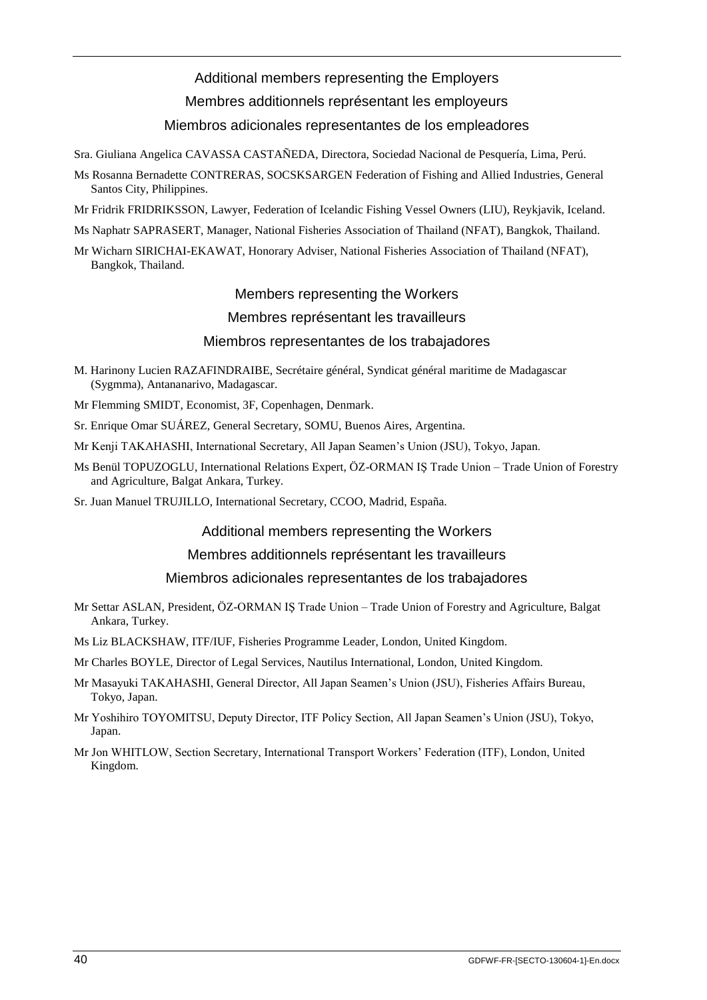#### Additional members representing the Employers

Membres additionnels représentant les employeurs

#### Miembros adicionales representantes de los empleadores

Sra. Giuliana Angelica CAVASSA CASTAÑEDA, Directora, Sociedad Nacional de Pesquería, Lima, Perú.

- Ms Rosanna Bernadette CONTRERAS, SOCSKSARGEN Federation of Fishing and Allied Industries, General Santos City, Philippines.
- Mr Fridrik FRIDRIKSSON, Lawyer, Federation of Icelandic Fishing Vessel Owners (LIU), Reykjavik, Iceland.
- Ms Naphatr SAPRASERT, Manager, National Fisheries Association of Thailand (NFAT), Bangkok, Thailand.

Mr Wicharn SIRICHAI-EKAWAT, Honorary Adviser, National Fisheries Association of Thailand (NFAT), Bangkok, Thailand.

## Members representing the Workers

#### Membres représentant les travailleurs

#### Miembros representantes de los trabajadores

- M. Harinony Lucien RAZAFINDRAIBE, Secrétaire général, Syndicat général maritime de Madagascar (Sygmma), Antananarivo, Madagascar.
- Mr Flemming SMIDT, Economist, 3F, Copenhagen, Denmark.
- Sr. Enrique Omar SUÁREZ, General Secretary, SOMU, Buenos Aires, Argentina.
- Mr Kenji TAKAHASHI, International Secretary, All Japan Seamen's Union (JSU), Tokyo, Japan.
- Ms Benül TOPUZOGLU, International Relations Expert, ÖZ-ORMAN IŞ Trade Union Trade Union of Forestry and Agriculture, Balgat Ankara, Turkey.
- Sr. Juan Manuel TRUJILLO, International Secretary, CCOO, Madrid, España.

#### Additional members representing the Workers

#### Membres additionnels représentant les travailleurs

#### Miembros adicionales representantes de los trabajadores

- Mr Settar ASLAN, President, ÖZ-ORMAN IŞ Trade Union Trade Union of Forestry and Agriculture, Balgat Ankara, Turkey.
- Ms Liz BLACKSHAW, ITF/IUF, Fisheries Programme Leader, London, United Kingdom.
- Mr Charles BOYLE, Director of Legal Services, Nautilus International, London, United Kingdom.
- Mr Masayuki TAKAHASHI, General Director, All Japan Seamen's Union (JSU), Fisheries Affairs Bureau, Tokyo, Japan.
- Mr Yoshihiro TOYOMITSU, Deputy Director, ITF Policy Section, All Japan Seamen's Union (JSU), Tokyo, Japan.
- Mr Jon WHITLOW, Section Secretary, International Transport Workers' Federation (ITF), London, United Kingdom.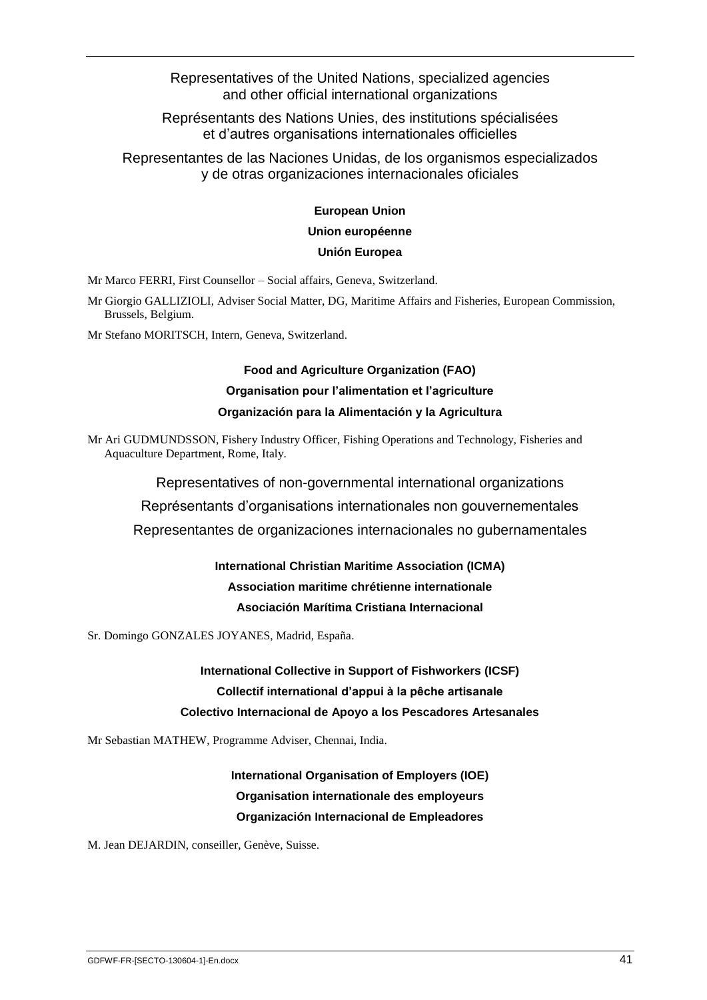Representatives of the United Nations, specialized agencies and other official international organizations

Représentants des Nations Unies, des institutions spécialisées et d'autres organisations internationales officielles

Representantes de las Naciones Unidas, de los organismos especializados y de otras organizaciones internacionales oficiales

#### **European Union**

#### **Union européenne**

#### **Unión Europea**

Mr Marco FERRI, First Counsellor – Social affairs, Geneva, Switzerland.

Mr Giorgio GALLIZIOLI, Adviser Social Matter, DG, Maritime Affairs and Fisheries, European Commission, Brussels, Belgium.

Mr Stefano MORITSCH, Intern, Geneva, Switzerland.

## **Food and Agriculture Organization (FAO) Organisation pour l'alimentation et l'agriculture**

#### **Organización para la Alimentación y la Agricultura**

Mr Ari GUDMUNDSSON, Fishery Industry Officer, Fishing Operations and Technology, Fisheries and Aquaculture Department, Rome, Italy.

Representatives of non-governmental international organizations

Représentants d'organisations internationales non gouvernementales

Representantes de organizaciones internacionales no gubernamentales

## **International Christian Maritime Association (ICMA) Association maritime chrétienne internationale Asociación Marítima Cristiana Internacional**

Sr. Domingo GONZALES JOYANES, Madrid, España.

**International Collective in Support of Fishworkers (ICSF) Collectif international d'appui à la pêche artisanale Colectivo Internacional de Apoyo a los Pescadores Artesanales**

Mr Sebastian MATHEW, Programme Adviser, Chennai, India.

## **International Organisation of Employers (IOE) Organisation internationale des employeurs Organización Internacional de Empleadores**

M. Jean DEJARDIN, conseiller, Genève, Suisse.